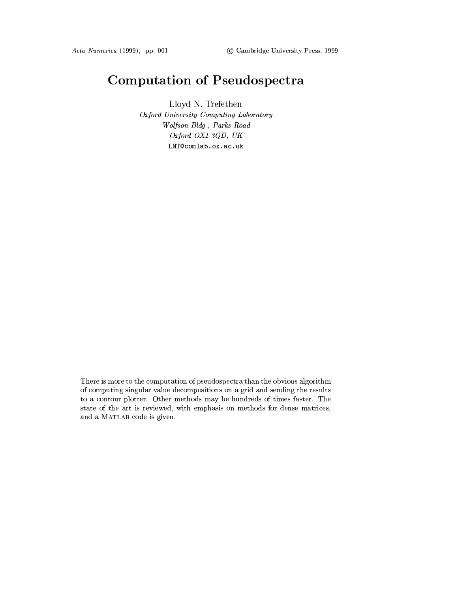# **Computation of Pseudospectra**

Lloyd N. Trefethen Oxford University Computing Laboratory Wolfson Bldg., Parks Road Oxford OX1 3QD, UK LNT@comlab.ox.ac.uk

There is more to the computation of pseudospectra than the obvious algorithm of computing singular value decompositions on a grid and sending the results to a contour plotter. Other methods may be hundreds of times faster. The state of the art is reviewed, with emphasis on methods for dense matrices, and a MATLAB code is given.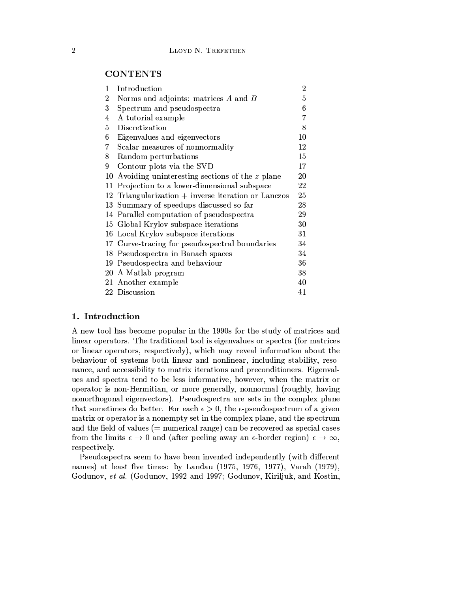# **CONTENTS**

| 1  | Introduction                                        | 2  |
|----|-----------------------------------------------------|----|
| 2  | Norms and adjoints: matrices $A$ and $B$            | 5  |
| 3  | Spectrum and pseudospectra                          | 6  |
| 4  | A tutorial example                                  | 7  |
| 5  | Discretization                                      | 8  |
| 6  | Eigenvalues and eigenvectors                        | 10 |
| 7  | Scalar measures of nonnormality                     | 12 |
| 8  | Random perturbations                                | 15 |
| 9  | Contour plots via the SVD                           | 17 |
| 10 | Avoiding uninteresting sections of the z-plane      | 20 |
| 11 | Projection to a lower-dimensional subspace          | 22 |
|    | 12 Triangularization + inverse iteration or Lanczos | 25 |
|    | 13 Summary of speedups discussed so far             | 28 |
|    | 14 Parallel computation of pseudospectra            | 29 |
|    | 15 Global Krylov subspace iterations                | 30 |
|    | 16 Local Krylov subspace iterations                 | 31 |
|    | 17 Curve-tracing for pseudospectral boundaries      | 34 |
| 18 | Pseudospectra in Banach spaces                      | 34 |
| 19 | Pseudospectra and behaviour                         | 36 |
|    | 20 A Matlab program                                 | 38 |
|    | 21 Another example                                  | 40 |
|    | 22 Discussion                                       | 41 |

# 1. Introduction

A new tool has become popular in the 1990s for the study of matrices and linear operators. The traditional tool is eigenvalues or spectra (for matrices or linear operators, respectively), which may reveal information about the behaviour of systems both linear and nonlinear, including stability, resonance, and accessibility to matrix iterations and preconditioners. Eigenvalues and spectra tend to be less informative, however, when the matrix or operator is non-Hermitian, or more generally, nonnormal (roughly, having nonorthogonal eigenvectors). Pseudospectra are sets in the complex plane that sometimes do better. For each  $\epsilon > 0$ , the  $\epsilon$ -pseudospectrum of a given matrix or operator is a nonempty set in the complex plane, and the spectrum and the field of values  $(=$  numerical range) can be recovered as special cases from the limits  $\epsilon \to 0$  and (after peeling away an  $\epsilon$ -border region)  $\epsilon \to \infty$ , respectively.

Pseudospectra seem to have been invented independently (with different names) at least five times: by Landau (1975, 1976, 1977), Varah (1979), Godunov, et al. (Godunov, 1992 and 1997; Godunov, Kiriljuk, and Kostin,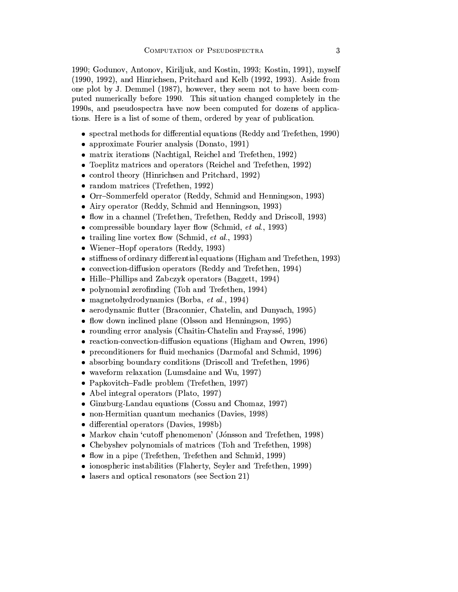1990; Godunov, Antonov, Kiriljuk, and Kostin, 1993; Kostin, 1991), myself (1990, 1992), and Hinrichsen, Pritchard and Kelb (1992, 1993). Aside from one plot by J. Demmel (1987), however, they seem not to have been computed numerically before 1990. This situation changed completely in the 1990s, and pseudospectra have now been computed for dozens of applications. Here is a list of some of them, ordered by year of publication.

- $\bullet$  spectral methods for differential equations (Reddy and Trefethen, 1990)
- approximate Fourier analysis (Donato, 1991)
- matrix iterations (Nachtigal, Reichel and Trefethen, 1992)
- Toeplitz matrices and operators (Reichel and Trefethen, 1992)
- control theory (Hinrichsen and Pritchard, 1992)
- random matrices (Trefethen, 1992)
- Orr-Sommerfeld operator (Reddy, Schmid and Henningson, 1993)
- Airy operator (Reddy, Schmid and Henningson, 1993)
- flow in a channel (Trefethen, Trefethen, Reddy and Driscoll, 1993)
- compressible boundary layer flow (Schmid, *et al.*, 1993)
- trailing line vortex flow (Schmid, *et al.*, 1993)
- Wiener-Hopf operators (Reddy, 1993)
- stiffness of ordinary differential equations (Higham and Trefethen, 1993)
- convection-diffusion operators (Reddy and Trefethen, 1994)
- Hille-Phillips and Zabczyk operators (Baggett, 1994)
- polynomial zerofinding (Toh and Trefethen, 1994)
- $\bullet$  magnetohydrodynamics (Borba, *et al.*, 1994)
- aerodynamic flutter (Braconnier, Chatelin, and Dunyach, 1995)
- flow down inclined plane (Olsson and Henningson, 1995)
- rounding error analysis (Chaitin-Chatelin and Frayssé, 1996)
- reaction-convection-diffusion equations (Higham and Owren, 1996)
- preconditioners for fluid mechanics (Darmofal and Schmid, 1996)
- absorbing boundary conditions (Driscoll and Trefethen, 1996)
- waveform relaxation (Lumsdaine and Wu, 1997)
- Papkovitch-Fadle problem (Trefethen, 1997)
- Abel integral operators (Plato, 1997)
- Ginzburg-Landau equations (Cossu and Chomaz, 1997)
- non-Hermitian quantum mechanics (Davies, 1998)
- $\bullet$  differential operators (Davies, 1998b)
- Markov chain 'cutoff phenomenon' (Jónsson and Trefethen, 1998)
- Chebyshev polynomials of matrices (Toh and Trefethen, 1998)
- flow in a pipe (Trefethen, Trefethen and Schmid, 1999)
- ionospheric instabilities (Flaherty, Seyler and Trefethen, 1999)
- lasers and optical resonators (see Section 21)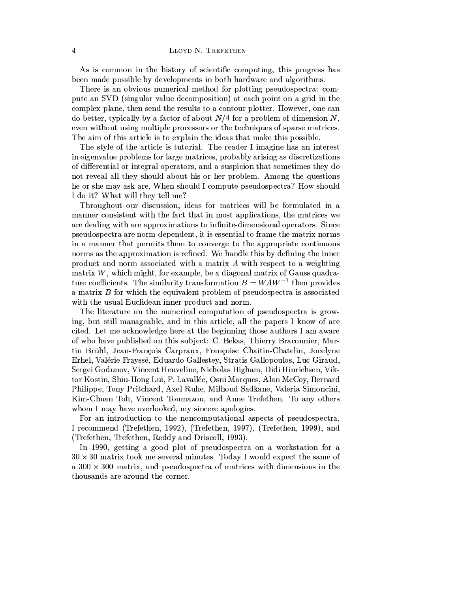As is common in the history of scientific computing, this progress has been made possible by developments in both hardware and algorithms.

There is an obvious numerical method for plotting pseudospectra: compute an SVD (singular value decomposition) at each point on a grid in the complex plane, then send the results to a contour plotter. However, one can do better, typically by a factor of about  $N/4$  for a problem of dimension N, even without using multiple processors or the techniques of sparse matrices. The aim of this article is to explain the ideas that make this possible.

The style of the article is tutorial. The reader I imagine has an interest in eigenvalue problems for large matrices, probably arising as discretizations of differential or integral operators, and a suspicion that sometimes they do not reveal all they should about his or her problem. Among the questions he or she may ask are, When should I compute pseudospectra? How should I do it? What will they tell me?

Throughout our discussion, ideas for matrices will be formulated in a manner consistent with the fact that in most applications, the matrices we are dealing with are approximations to infinite-dimensional operators. Since pseudospectra are norm-dependent, it is essential to frame the matrix norms in a manner that permits them to converge to the appropriate continuous norms as the approximation is refined. We handle this by defining the inner product and norm associated with a matrix  $A$  with respect to a weighting matrix  $W$ , which might, for example, be a diagonal matrix of Gauss quadrature coefficients. The similarity transformation  $B = WAW^{-1}$  then provides a matrix  $B$  for which the equivalent problem of pseudospectra is associated with the usual Euclidean inner product and norm.

The literature on the numerical computation of pseudospectra is growing, but still manageable, and in this article, all the papers I know of are cited. Let me acknowledge here at the beginning those authors I am aware of who have published on this subject: C. Bekas, Thierry Braconnier, Martin Brühl, Jean-François Carpraux, Françoise Chaitin-Chatelin, Jocelyne Erhel, Valérie Frayssé, Eduardo Gallestey, Stratis Gallopoulos, Luc Giraud, Sergei Godunov, Vincent Heuveline, Nicholas Higham, Didi Hinrichsen, Viktor Kostin, Shiu-Hong Lui, P. Lavallée, Osni Marques, Alan McCoy, Bernard Philippe, Tony Pritchard, Axel Ruhe, Milhoud Sadkane, Valeria Simoncini, Kim-Chuan Toh, Vincent Toumazou, and Anne Trefethen. To any others whom I may have overlooked, my sincere apologies.

For an introduction to the noncomputational aspects of pseudospectra, I recommend (Trefethen, 1992), (Trefethen, 1997), (Trefethen, 1999), and (Trefethen, Trefethen, Reddy and Driscoll, 1993).

In 1990, getting a good plot of pseudospectra on a workstation for a  $30 \times 30$  matrix took me several minutes. Today I would expect the same of a  $300 \times 300$  matrix, and pseudospectra of matrices with dimensions in the thousands are around the corner.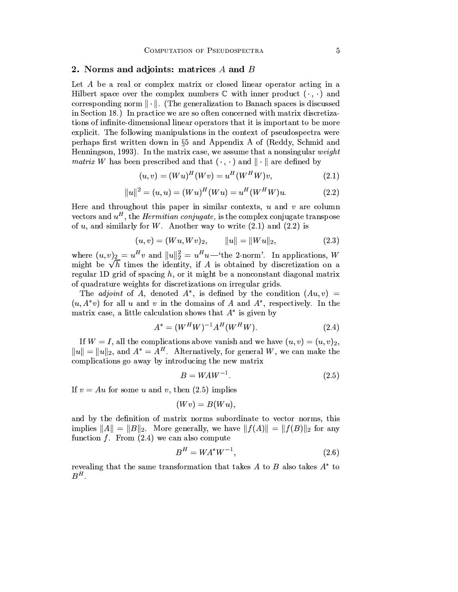# 2. Norms and adjoints: matrices A and B

Let A be a real or complex matrix or closed linear operator acting in a Hilbert space over the complex numbers  $\mathbb C$  with inner product  $(\cdot, \cdot)$  and corresponding norm  $\|\cdot\|$ . (The generalization to Banach spaces is discussed in Section 18.) In practice we are so often concerned with matrix discretizations of infinite-dimensional linear operators that it is important to be more explicit. The following manipulations in the context of pseudospectra were perhaps first written down in §5 and Appendix A of (Reddy, Schmid and Henningson, 1993). In the matrix case, we assume that a nonsingular *weight matrix* W has been prescribed and that  $(\cdot, \cdot)$  and  $\|\cdot\|$  are defined by

$$
(u, v) = (Wu)^{H}(Wv) = u^{H}(W^{H}W)v,
$$
\n(2.1)

$$
||u||^2 = (u, u) = (Wu)^H (Wu) = u^H (W^H W) u.
$$
 (2.2)

Here and throughout this paper in similar contexts,  $u$  and  $v$  are column vectors and  $u^H$ , the *Hermitian conjugate*, is the complex conjugate transpose of  $u$ , and similarly for W. Another way to write  $(2.1)$  and  $(2.2)$  is

$$
(u, v) = (Wu, Wv)_2, \qquad \|u\| = \|Wu\|_2, \tag{2.3}
$$

where  $(u, v)_2 = u^H v$  and  $||u||_2^2 = u^H u$ —'the 2-norm'. In applications, W might be  $\sqrt{h}$  times the identity, if A is obtained by discretization on a regular 1D grid of spacing  $h$ , or it might be a nonconstant diagonal matrix of quadrature weights for discretizations on irregular grids.

The *adjoint* of A, denoted  $A^*$ , is defined by the condition  $(Au, v)$  =  $(u, A^*v)$  for all u and v in the domains of A and  $A^*$ , respectively. In the matrix case, a little calculation shows that  $A^*$  is given by

$$
A^* = (W^H W)^{-1} A^H (W^H W). \tag{2.4}
$$

If  $W = I$ , all the complications above vanish and we have  $(u, v) = (u, v)_2$ ,  $||u|| = ||u||_2$ , and  $A^* = A^H$ . Alternatively, for general W, we can make the complications go away by introducing the new matrix

$$
B = WAW^{-1}.\tag{2.5}
$$

If  $v = Au$  for some u and v, then (2.5) implies

$$
(Wv)=B(Wu),
$$

and by the definition of matrix norms subordinate to vector norms, this implies  $||A|| = ||B||_2$ . More generally, we have  $||f(A)|| = ||f(B)||_2$  for any function  $f$ . From  $(2.4)$  we can also compute

$$
B^H = W A^* W^{-1},\tag{2.6}
$$

revealing that the same transformation that takes A to B also takes  $A^*$  to  $B^H$ .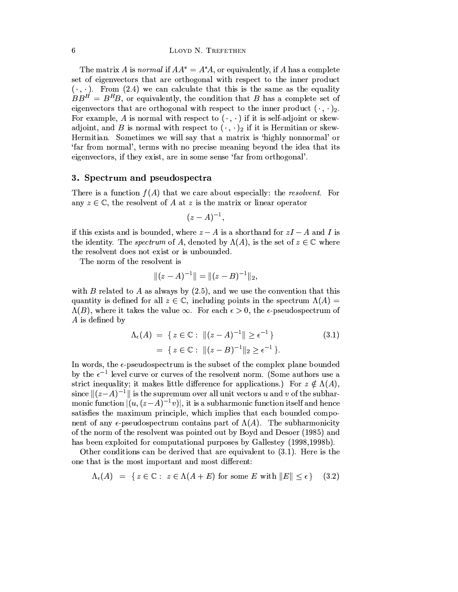The matrix A is normal if  $AA^* = A^*A$ , or equivalently, if A has a complete set of eigenvectors that are orthogonal with respect to the inner product  $(\cdot, \cdot)$ . From (2.4) we can calculate that this is the same as the equality  $BB<sup>H</sup> = B<sup>H</sup>B$ , or equivalently, the condition that B has a complete set of eigenvectors that are orthogonal with respect to the inner product  $(\cdot, \cdot)_2$ . For example, A is normal with respect to  $(\cdot, \cdot)$  if it is self-adjoint or skewadjoint, and B is normal with respect to  $(\cdot, \cdot)_2$  if it is Hermitian or skew-Hermitian. Sometimes we will say that a matrix is 'highly nonnormal' or 'far from normal', terms with no precise meaning beyond the idea that its eigenvectors, if they exist, are in some sense 'far from orthogonal'.

## 3. Spectrum and pseudospectra

There is a function  $f(A)$  that we care about especially: the *resolvent*. For any  $z \in \mathbb{C}$ , the resolvent of A at z is the matrix or linear operator

$$
(z-A)^{-1},
$$

if this exists and is bounded, where  $z - A$  is a shorthand for  $zI - A$  and I is the identity. The *spectrum* of A, denoted by  $\Lambda(A)$ , is the set of  $z \in \mathbb{C}$  where the resolvent does not exist or is unbounded.

The norm of the resolvent is

$$
||(z-A)^{-1}|| = ||(z-B)^{-1}||_2,
$$

with  $B$  related to  $A$  as always by  $(2.5)$ , and we use the convention that this quantity is defined for all  $z \in \mathbb{C}$ , including points in the spectrum  $\Lambda(A)$  =  $\Lambda(B)$ , where it takes the value  $\infty$ . For each  $\epsilon > 0$ , the  $\epsilon$ -pseudospectrum of  $A$  is defined by

$$
\Lambda_{\epsilon}(A) = \{ z \in \mathbb{C} : ||(z - A)^{-1}|| \ge \epsilon^{-1} \}
$$
\n
$$
= \{ z \in \mathbb{C} : ||(z - B)^{-1}||_2 \ge \epsilon^{-1} \}.
$$
\n(3.1)

In words, the  $\epsilon$ -pseudospectrum is the subset of the complex plane bounded by the  $\epsilon^{-1}$  level curve or curves of the resolvent norm. (Some authors use a strict inequality; it makes little difference for applications.) For  $z \notin \Lambda(A)$ , since  $||(z-A)^{-1}||$  is the supremum over all unit vectors u and v of the subharmonic function  $|(u, (z-A)^{-1}v)|$ , it is a subharmonic function itself and hence satisfies the maximum principle, which implies that each bounded component of any  $\epsilon$ -pseudospectrum contains part of  $\Lambda(A)$ . The subharmonicity of the norm of the resolvent was pointed out by Boyd and Desoer (1985) and has been exploited for computational purposes by Gallestey (1998, 1998b).

Other conditions can be derived that are equivalent to  $(3.1)$ . Here is the one that is the most important and most different:

$$
\Lambda_{\epsilon}(A) = \{ z \in \mathbb{C} : z \in \Lambda(A + E) \text{ for some } E \text{ with } \|E\| \le \epsilon \} \tag{3.2}
$$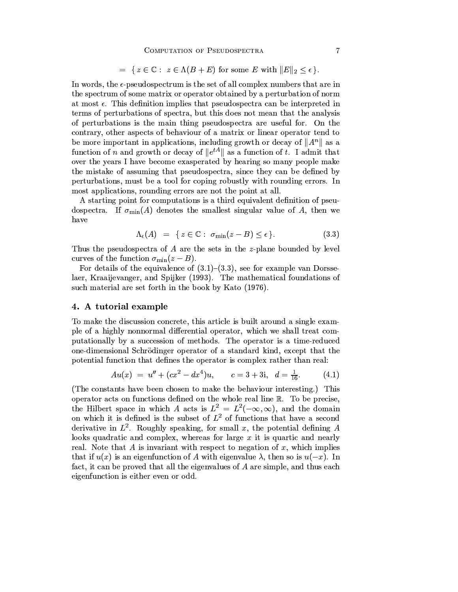$$
= \{ z \in \mathbb{C} : z \in \Lambda(B+E) \text{ for some } E \text{ with } ||E||_2 \le \epsilon \}.
$$

In words, the  $\epsilon$ -pseudospectrum is the set of all complex numbers that are in the spectrum of some matrix or operator obtained by a perturbation of norm at most  $\epsilon$ . This definition implies that pseudospectra can be interpreted in terms of perturbations of spectra, but this does not mean that the analysis of perturbations is the main thing pseudospectra are useful for. On the contrary, other aspects of behaviour of a matrix or linear operator tend to be more important in applications, including growth or decay of  $||A^n||$  as a function of *n* and growth or decay of  $||e^{tA}||$  as a function of *t*. I admit that over the years I have become exasperated by hearing so many people make the mistake of assuming that pseudospectra, since they can be defined by perturbations, must be a tool for coping robustly with rounding errors. In most applications, rounding errors are not the point at all.

A starting point for computations is a third equivalent definition of pseudospectra. If  $\sigma_{\min}(A)$  denotes the smallest singular value of A, then we have

$$
\Lambda_{\epsilon}(A) = \{ z \in \mathbb{C} : \sigma_{\min}(z - B) \le \epsilon \}. \tag{3.3}
$$

Thus the pseudospectra of  $A$  are the sets in the z-plane bounded by level curves of the function  $\sigma_{\min}(z-B)$ .

For details of the equivalence of  $(3.1)$ – $(3.3)$ , see for example van Dorsselaer, Kraaijevanger, and Spijker (1993). The mathematical foundations of such material are set forth in the book by Kato (1976).

# 4. A tutorial example

To make the discussion concrete, this article is built around a single example of a highly nonnormal differential operator, which we shall treat computationally by a succession of methods. The operator is a time-reduced one-dimensional Schrödinger operator of a standard kind, except that the potential function that defines the operator is complex rather than real:

$$
Au(x) = u'' + (cx^2 - dx^4)u, \qquad c = 3 + 3i, \quad d = \frac{1}{16}.
$$
 (4.1)

(The constants have been chosen to make the behaviour interesting.) This operator acts on functions defined on the whole real line  $\mathbb{R}$ . To be precise, the Hilbert space in which A acts is  $L^2 = L^2(-\infty, \infty)$ , and the domain on which it is defined is the subset of  $L^2$  of functions that have a second derivative in  $L^2$ . Roughly speaking, for small x, the potential defining A looks quadratic and complex, whereas for large  $x$  it is quartic and nearly real. Note that A is invariant with respect to negation of x, which implies that if  $u(x)$  is an eigenfunction of A with eigenvalue  $\lambda$ , then so is  $u(-x)$ . In fact, it can be proved that all the eigenvalues of  $A$  are simple, and thus each eigenfunction is either even or odd.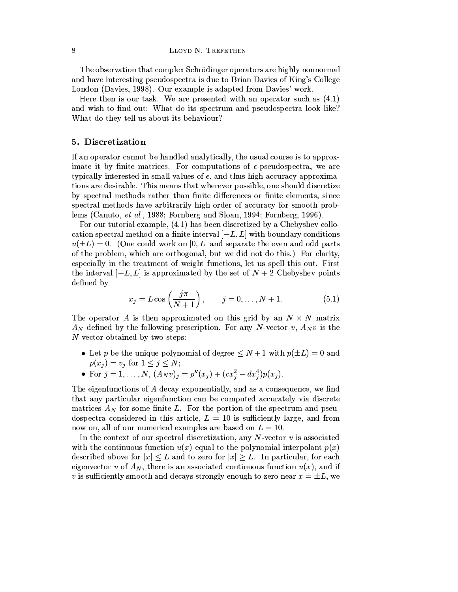The observation that complex Schrödinger operators are highly nonnormal and have interesting pseudospectra is due to Brian Davies of King's College London (Davies, 1998). Our example is adapted from Davies' work.

Here then is our task. We are presented with an operator such as  $(4.1)$ and wish to find out: What do its spectrum and pseudospectra look like? What do they tell us about its behaviour?

# 5. Discretization

If an operator cannot be handled analytically, the usual course is to approximate it by finite matrices. For computations of  $\epsilon$ -pseudospectra, we are typically interested in small values of  $\epsilon$ , and thus high-accuracy approximations are desirable. This means that wherever possible, one should discretize by spectral methods rather than finite differences or finite elements, since spectral methods have arbitrarily high order of accuracy for smooth problems (Canuto, *et al.*, 1988; Fornberg and Sloan, 1994; Fornberg, 1996).

For our tutorial example, (4.1) has been discretized by a Chebyshev collocation spectral method on a finite interval  $[-L, L]$  with boundary conditions  $u(\pm L) = 0$ . (One could work on [0, L] and separate the even and odd parts of the problem, which are orthogonal, but we did not do this.) For clarity, especially in the treatment of weight functions, let us spell this out. First the interval  $[-L, L]$  is approximated by the set of  $N + 2$  Chebyshev points defined by

$$
x_j = L \cos\left(\frac{j\pi}{N+1}\right), \qquad j = 0, ..., N+1.
$$
 (5.1)

The operator A is then approximated on this grid by an  $N \times N$  matrix  $A_N$  defined by the following prescription. For any N-vector v,  $A_N v$  is the  $N$ -vector obtained by two steps:

- Let p be the unique polynomial of degree  $\leq N+1$  with  $p(\pm L)=0$  and  $p(x_i) = v_i$  for  $1 \leq j \leq N$ ;
- For  $j = 1, ..., N$ ,  $(A_N v)_j = p''(x_j) + (cx_j^2 dx_j^4)p(x_j)$ .

The eigenfunctions of  $A$  decay exponentially, and as a consequence, we find that any particular eigenfunction can be computed accurately via discrete matrices  $A_N$  for some finite L. For the portion of the spectrum and pseudospectra considered in this article,  $L = 10$  is sufficiently large, and from now on, all of our numerical examples are based on  $L = 10$ .

In the context of our spectral discretization, any  $N$ -vector  $v$  is associated with the continuous function  $u(x)$  equal to the polynomial interpolant  $p(x)$ described above for  $|x| \leq L$  and to zero for  $|x| \geq L$ . In particular, for each eigenvector v of  $A_N$ , there is an associated continuous function  $u(x)$ , and if v is sufficiently smooth and decays strongly enough to zero near  $x = \pm L$ , we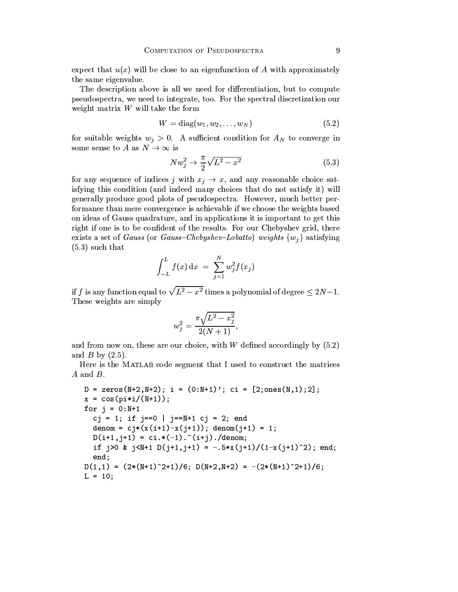expect that  $u(x)$  will be close to an eigenfunction of A with approximately the same eigenvalue.

The description above is all we need for differentiation, but to compute pseudospectra, we need to integrate, too. For the spectral discretization our weight matrix  $W$  will take the form

$$
W = \text{diag}(w_1, w_2, \dots, w_N) \tag{5.2}
$$

for suitable weights  $w_i > 0$ . A sufficient condition for  $A_N$  to converge in some sense to A as  $N \to \infty$  is

$$
Nw_j^2 \to \frac{\pi}{2}\sqrt{L^2 - x^2} \tag{5.3}
$$

for any sequence of indices j with  $x_j \to x$ , and any reasonable choice satisfying this condition (and indeed many choices that do not satisfy it) will generally produce good plots of pseudospectra. However, much better performance than mere convergence is achievable if we choose the weights based on ideas of Gauss quadrature, and in applications it is important to get this right if one is to be confident of the results. For our Chebyshev grid, there exists a set of *Gauss* (or *Gauss-Chebyshev-Lobatto*) weights  $\{w_i\}$  satisfying  $(5.3)$  such that

$$
\int_{-L}^{L} f(x) dx = \sum_{j=1}^{N} w_j^2 f(x_j)
$$

if f is any function equal to  $\sqrt{L^2-x^2}$  times a polynomial of degree  $\leq 2N-1$ . These weights are simply

$$
w_j^2 = \frac{\pi \sqrt{L^2 - x_j^2}}{2(N+1)}
$$

and from now on, these are our choice, with  $W$  defined accordingly by  $(5.2)$ and  $B$  by  $(2.5)$ .

Here is the MATLAB code segment that I used to construct the matrices  $A$  and  $B$ .

```
D = zeros(M+2, N+2); i = (0:N+1)'; ci = [2; ones(N,1);2];x = cos(pixi/(N+1));for j = 0:N+1cj = 1; if j == 0 | j = = N + 1 cj = 2; end
  denom = c_j*(x(i+1)-x(j+1)); denom(j+1) = 1;
  D(i+1, j+1) = ci.*(-1).^(i+j)./denom;if j>0 & j<N+1 D(j+1,j+1) = -.5*x(j+1)/(1-x(j+1)^2); end;
  end;
D(1,1) = (2*(N+1)^2+1)/6; D(N+2,N+2) = -(2*(N+1)^2+1)/6;
L = 10;
```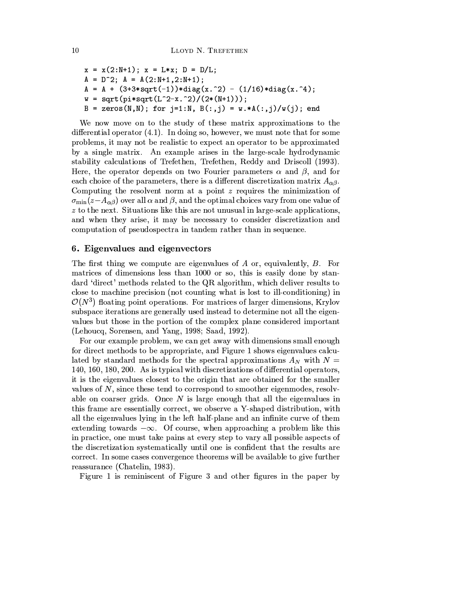$x = x(2:N+1); x = L*x; D = D/L;$  $A = D^2$ ;  $A = A(2:N+1,2:N+1)$ ;  $A = A + (3+3*sqrt(-1))*diag(x.^2) - (1/16)*diag(x.^4);$  $w = sqrt(pixsqrt(L^2-x.^2)/(2*(N+1)));$ B = zeros(N,N); for j=1:N, B(:,j) =  $w.*A(:,j)/w(j)$ ; end

We now move on to the study of these matrix approximations to the differential operator  $(4.1)$ . In doing so, however, we must note that for some problems, it may not be realistic to expect an operator to be approximated by a single matrix. An example arises in the large-scale hydrodynamic stability calculations of Trefethen, Trefethen, Reddy and Driscoll (1993). Here, the operator depends on two Fourier parameters  $\alpha$  and  $\beta$ , and for each choice of the parameters, there is a different discretization matrix  $A_{\alpha\beta}$ . Computing the resolvent norm at a point  $z$  requires the minimization of  $\sigma_{\min}(z-A_{\alpha\beta})$  over all  $\alpha$  and  $\beta$ , and the optimal choices vary from one value of  $z$  to the next. Situations like this are not unusual in large-scale applications, and when they arise, it may be necessary to consider discretization and computation of pseudospectra in tandem rather than in sequence.

# 6. Eigenvalues and eigenvectors

The first thing we compute are eigenvalues of  $A$  or, equivalently,  $B$ . For matrices of dimensions less than 1000 or so, this is easily done by standard 'direct' methods related to the QR algorithm, which deliver results to close to machine precision (not counting what is lost to ill-conditioning) in  $\mathcal{O}(N^3)$  floating point operations. For matrices of larger dimensions, Krylov subspace iterations are generally used instead to determine not all the eigenvalues but those in the portion of the complex plane considered important (Lehoucq, Sorensen, and Yang, 1998; Saad, 1992).

For our example problem, we can get away with dimensions small enough for direct methods to be appropriate, and Figure 1 shows eigenvalues calculated by standard methods for the spectral approximations  $A_N$  with  $N =$ 140, 160, 180, 200. As is typical with discretizations of differential operators, it is the eigenvalues closest to the origin that are obtained for the smaller values of  $N$ , since these tend to correspond to smoother eigenmodes, resolvable on coarser grids. Once  $N$  is large enough that all the eigenvalues in this frame are essentially correct, we observe a Y-shaped distribution, with all the eigenvalues lying in the left half-plane and an infinite curve of them extending towards  $-\infty$ . Of course, when approaching a problem like this in practice, one must take pains at every step to vary all possible aspects of the discretization systematically until one is confident that the results are correct. In some cases convergence theorems will be available to give further reassurance (Chatelin, 1983).

Figure 1 is reminiscent of Figure 3 and other figures in the paper by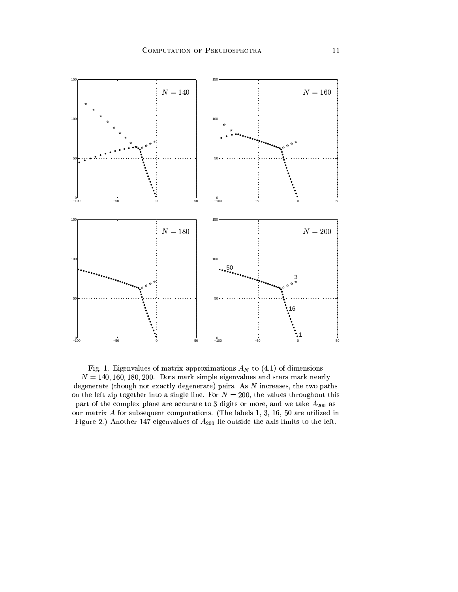

Fig. 1. Eigenvalues of matrix approximations  $A_N$  to (4.1) of dimensions  $N = 140, 160, 180, 200$ . Dots mark simple eigenvalues and stars mark nearly degenerate (though not exactly degenerate) pairs. As  $N$  increases, the two paths on the left zip together into a single line. For  $N = 200$ , the values throughout this part of the complex plane are accurate to 3 digits or more, and we take  $A_{200}$  as our matrix  $A$  for subsequent computations. (The labels 1, 3, 16, 50 are utilized in Figure 2.) Another 147 eigenvalues of  $A_{200}$  lie outside the axis limits to the left.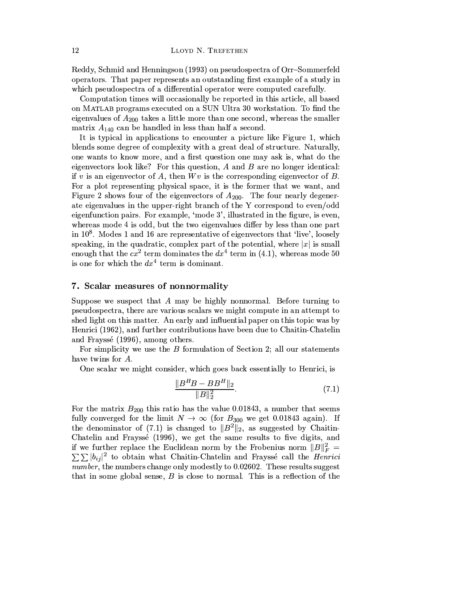LLOYD N. TREFETHEN

Reddy, Schmid and Henningson (1993) on pseudospectra of Orr-Sommerfeld operators. That paper represents an outstanding first example of a study in which pseudospectra of a differential operator were computed carefully.

Computation times will occasionally be reported in this article, all based on MATLAB programs executed on a SUN Ultra 30 workstation. To find the eigenvalues of  $A_{200}$  takes a little more than one second, whereas the smaller matrix  $A_{140}$  can be handled in less than half a second.

It is typical in applications to encounter a picture like Figure 1, which blends some degree of complexity with a great deal of structure. Naturally, one wants to know more, and a first question one may ask is, what do the eigenvectors look like? For this question,  $A$  and  $B$  are no longer identical: if v is an eigenvector of A, then  $Wv$  is the corresponding eigenvector of B. For a plot representing physical space, it is the former that we want, and Figure 2 shows four of the eigenvectors of  $A_{200}$ . The four nearly degenerate eigenvalues in the upper-right branch of the Y correspond to even/odd eigenfunction pairs. For example, 'mode 3', illustrated in the figure, is even, whereas mode 4 is odd, but the two eigenvalues differ by less than one part in  $10^8$ . Modes 1 and 16 are representative of eigenvectors that 'live', loosely speaking, in the quadratic, complex part of the potential, where  $|x|$  is small enough that the  $cx^2$  term dominates the  $dx^4$  term in (4.1), whereas mode 50 is one for which the  $dx^4$  term is dominant.

# 7. Scalar measures of nonnormality

Suppose we suspect that  $A$  may be highly nonnormal. Before turning to pseudospectra, there are various scalars we might compute in an attempt to shed light on this matter. An early and influential paper on this topic was by Henrici (1962), and further contributions have been due to Chaitin-Chatelin and Frayssé (1996), among others.

For simplicity we use the  $B$  formulation of Section 2; all our statements have twins for A.

One scalar we might consider, which goes back essentially to Henrici, is

$$
\frac{\|B^H B - B B^H\|_2}{\|B\|_2^2}.
$$
\n(7.1)

For the matrix  $B_{200}$  this ratio has the value 0.01843, a number that seems fully converged for the limit  $N \to \infty$  (for  $B_{300}$  we get 0.01843 again). If the denominator of (7.1) is changed to  $||B^2||_2$ , as suggested by Chaitin-Chatelin and Frayssé (1996), we get the same results to five digits, and if we further replace the Euclidean norm by the Frobenius norm  $||B||_F^2 =$  $\sum \sum |b_{ij}|^2$  to obtain what Chaitin-Chatelin and Frayssé call the *Henrici* number, the numbers change only modestly to 0.02602. These results suggest that in some global sense,  $B$  is close to normal. This is a reflection of the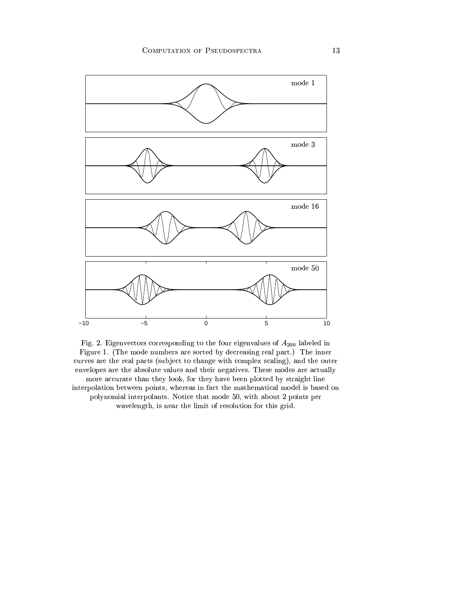

Fig. 2. Eigenvectors corresponding to the four eigenvalues of  ${\cal A}_{200}$  labeled in Figure 1. (The mode numbers are sorted by decreasing real part.) The inner curves are the real parts (subject to change with complex scaling), and the outer envelopes are the absolute values and their negatives. These modes are actually more accurate than they look, for they have been plotted by straight line interpolation between points, whereas in fact the mathematical model is based on polynomial interpolants. Notice that mode 50, with about 2 points per wavelength, is near the limit of resolution for this grid.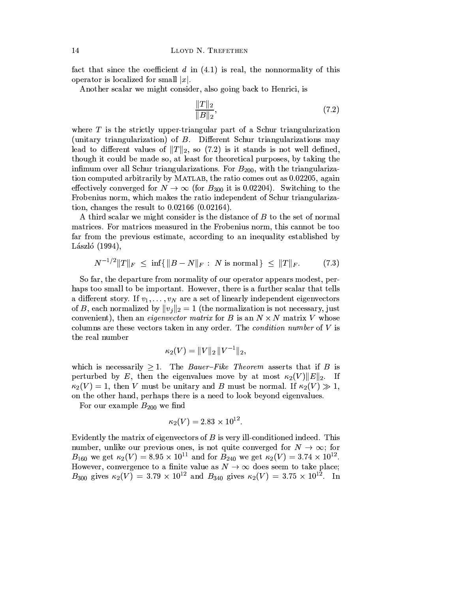fact that since the coefficient  $d$  in  $(4.1)$  is real, the nonnormality of this operator is localized for small  $|x|$ .

Another scalar we might consider, also going back to Henrici, is

$$
\frac{\|T\|_2}{\|B\|_2},\tag{7.2}
$$

where  $T$  is the strictly upper-triangular part of a Schur triangularization (unitary triangularization) of  $B$ . Different Schur triangularizations may lead to different values of  $||T||_2$ , so (7.2) is it stands is not well defined, though it could be made so, at least for theoretical purposes, by taking the infimum over all Schur triangularizations. For  $B_{200}$ , with the triangularization computed arbitrarily by MATLAB, the ratio comes out as 0.02205, again effectively converged for  $N \to \infty$  (for  $B_{300}$  it is 0.02204). Switching to the Frobenius norm, which makes the ratio independent of Schur triangularization, changes the result to  $0.02166$  (0.02164).

A third scalar we might consider is the distance of  $B$  to the set of normal matrices. For matrices measured in the Frobenius norm, this cannot be too far from the previous estimate, according to an inequality established by László  $(1994)$ ,

$$
N^{-1/2} \|T\|_F \le \inf\{\|B - N\|_F : N \text{ is normal}\} \le \|T\|_F. \tag{7.3}
$$

So far, the departure from normality of our operator appears modest, perhaps too small to be important. However, there is a further scalar that tells a different story. If  $v_1, \ldots, v_N$  are a set of linearly independent eigenvectors of B, each normalized by  $||v_j||_2 = 1$  (the normalization is not necessary, just convenient), then an *eigenvector matrix* for B is an  $N \times N$  matrix V whose columns are these vectors taken in any order. The *condition number* of V is the real number

$$
\kappa_2(V)=\|V\|_2\,\|V^{-1}\|_2,
$$

which is necessarily  $\geq 1$ . The *Bauer-Fike Theorem* asserts that if *B* is perturbed by E, then the eigenvalues move by at most  $\kappa_2(V) \|E\|_2$ . If  $\kappa_2(V) = 1$ , then V must be unitary and B must be normal. If  $\kappa_2(V) \gg 1$ , on the other hand, perhaps there is a need to look beyond eigenvalues.

For our example  $B_{200}$  we find

$$
\kappa_2(V) = 2.83 \times 10^{12}.
$$

Evidently the matrix of eigenvectors of  $B$  is very ill-conditioned indeed. This number, unlike our previous ones, is not quite converged for  $N \to \infty$ ; for  $B_{160}$  we get  $\kappa_2(V) = 8.95 \times 10^{11}$  and for  $B_{240}$  we get  $\kappa_2(V) = 3.74 \times 10^{12}$ .<br>However, convergence to a finite value as  $N \to \infty$  does seem to take place;<br> $B_{300}$  gives  $\kappa_2(V) = 3.79 \times 10^{12}$  and  $B_{340}$  g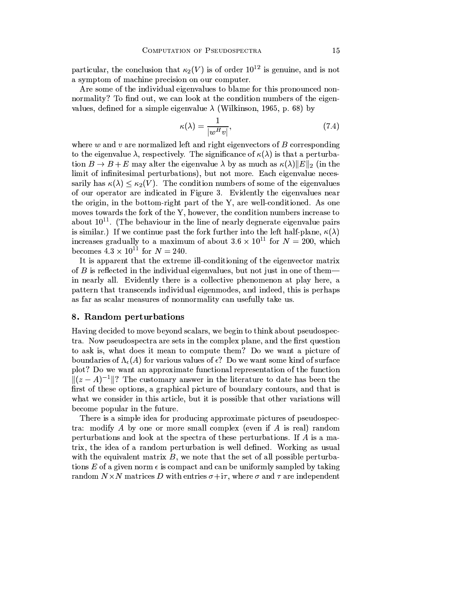particular, the conclusion that  $\kappa_2(V)$  is of order  $10^{12}$  is genuine, and is not a symptom of machine precision on our computer.

Are some of the individual eigenvalues to blame for this pronounced nonnormality? To find out, we can look at the condition numbers of the eigenvalues, defined for a simple eigenvalue  $\lambda$  (Wilkinson, 1965, p. 68) by

$$
\kappa(\lambda) = \frac{1}{|w^H v|},\tag{7.4}
$$

where  $w$  and  $v$  are normalized left and right eigenvectors of  $B$  corresponding to the eigenvalue  $\lambda$ , respectively. The significance of  $\kappa(\lambda)$  is that a perturbation  $B \to B + E$  may alter the eigenvalue  $\lambda$  by as much as  $\kappa(\lambda) \|E\|_2$  (in the limit of infinitesimal perturbations), but not more. Each eigenvalue necessarily has  $\kappa(\lambda) \leq \kappa_2(V)$ . The condition numbers of some of the eigenvalues of our operator are indicated in Figure 3. Evidently the eigenvalues near the origin, in the bottom-right part of the Y, are well-conditioned. As one moves towards the fork of the Y, however, the condition numbers increase to about  $10^{11}$ . (The behaviour in the line of nearly degnerate eigenvalue pairs is similar.) If we continue past the fork further into the left half-plane,  $\kappa(\lambda)$ increases gradually to a maximum of about  $3.6 \times 10^{11}$  for  $N = 200$ , which becomes  $4.3 \times 10^{11}$  for  $N = 240$ .

It is apparent that the extreme ill-conditioning of the eigenvector matrix of  $B$  is reflected in the individual eigenvalues, but not just in one of them in nearly all. Evidently there is a collective phenomenon at play here, a pattern that transcends individual eigenmodes, and indeed, this is perhaps as far as scalar measures of nonnormality can usefully take us.

# 8. Random perturbations

Having decided to move beyond scalars, we begin to think about pseudospectra. Now pseudospectra are sets in the complex plane, and the first question to ask is, what does it mean to compute them? Do we want a picture of boundaries of  $\Lambda_{\epsilon}(A)$  for various values of  $\epsilon$ ? Do we want some kind of surface plot? Do we want an approximate functional representation of the function  $||(z-A)^{-1}||$ ? The customary answer in the literature to date has been the first of these options, a graphical picture of boundary contours, and that is what we consider in this article, but it is possible that other variations will become popular in the future.

There is a simple idea for producing approximate pictures of pseudospectra: modify A by one or more small complex (even if A is real) random perturbations and look at the spectra of these perturbations. If A is a matrix, the idea of a random perturbation is well defined. Working as usual with the equivalent matrix  $B$ , we note that the set of all possible perturbations E of a given norm  $\epsilon$  is compact and can be uniformly sampled by taking random  $N \times N$  matrices D with entries  $\sigma + i\tau$ , where  $\sigma$  and  $\tau$  are independent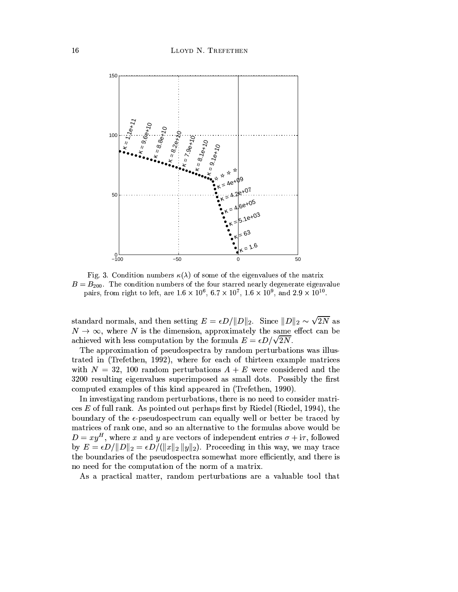

Fig. 3. Condition numbers  $\kappa(\lambda)$  of some of the eigenvalues of the matrix  $B = B_{200}$ . The condition numbers of the four starred nearly degenerate eigenvalue pairs, from right to left, are  $1.6 \times 10^6$ ,  $6.7 \times 10^7$ ,  $1.6 \times 10^9$ , and  $2.9 \times 10^{10}$ .

standard normals, and then setting  $E = \epsilon D / ||D||_2$ . Since  $||D||_2 \sim \sqrt{2N}$  as  $N \to \infty$ , where N is the dimension, approximately the same effect can be achieved with less computation by the formula  $E = \epsilon D / \sqrt{2N}$ .

The approximation of pseudospectra by random perturbations was illustrated in (Trefethen, 1992), where for each of thirteen example matrices with  $N = 32$ , 100 random perturbations  $A + E$  were considered and the 3200 resulting eigenvalues superimposed as small dots. Possibly the first computed examples of this kind appeared in (Trefethen, 1990).

In investigating random perturbations, there is no need to consider matrices E of full rank. As pointed out perhaps first by Riedel (Riedel, 1994), the boundary of the  $\epsilon$ -pseudospectrum can equally well or better be traced by matrices of rank one, and so an alternative to the formulas above would be  $D = xy^H$ , where x and y are vectors of independent entries  $\sigma + i\tau$ , followed by  $E = \epsilon D / ||D||_2 = \epsilon D / (||x||_2 ||y||_2)$ . Proceeding in this way, we may trace the boundaries of the pseudospectra somewhat more efficiently, and there is no need for the computation of the norm of a matrix.

As a practical matter, random perturbations are a valuable tool that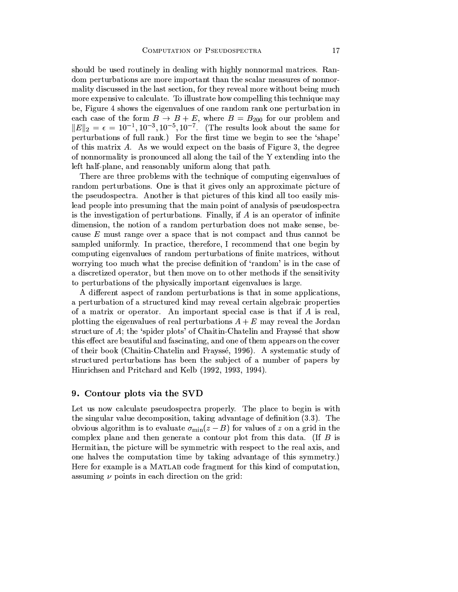should be used routinely in dealing with highly nonnormal matrices. Random perturbations are more important than the scalar measures of nonnormality discussed in the last section, for they reveal more without being much more expensive to calculate. To illustrate how compelling this technique may be, Figure 4 shows the eigenvalues of one random rank one perturbation in each case of the form  $B \to B + E$ , where  $B = B_{200}$  for our problem and  $||E||_2 = \epsilon = 10^{-1}, 10^{-3}, 10^{-5}, 10^{-7}$ . (The results look about the same for perturbations of full rank.) For the first time we begin to see the 'shape' of this matrix  $A$ . As we would expect on the basis of Figure 3, the degree of nonnormality is pronounced all along the tail of the Y extending into the left half-plane, and reasonably uniform along that path.

There are three problems with the technique of computing eigenvalues of random perturbations. One is that it gives only an approximate picture of the pseudospectra. Another is that pictures of this kind all too easily mislead people into presuming that the main point of analysis of pseudospectra is the investigation of perturbations. Finally, if  $\vec{A}$  is an operator of infinite dimension, the notion of a random perturbation does not make sense, because  $E$  must range over a space that is not compact and thus cannot be sampled uniformly. In practice, therefore, I recommend that one begin by computing eigenvalues of random perturbations of finite matrices, without worrying too much what the precise definition of 'random' is in the case of a discretized operator, but then move on to other methods if the sensitivity to perturbations of the physically important eigenvalues is large.

A different aspect of random perturbations is that in some applications, a perturbation of a structured kind may reveal certain algebraic properties of a matrix or operator. An important special case is that if  $A$  is real, plotting the eigenvalues of real perturbations  $A + E$  may reveal the Jordan structure of A; the 'spider plots' of Chaitin-Chatelin and Fraysse that show this effect are beautiful and fascinating, and one of them appears on the cover of their book (Chaitin-Chatelin and Frayssé, 1996). A systematic study of structured perturbations has been the subject of a number of papers by Hinrichsen and Pritchard and Kelb (1992, 1993, 1994).

## 9. Contour plots via the SVD

Let us now calculate pseudospectra properly. The place to begin is with the singular value decomposition, taking advantage of definition (3.3). The obvious algorithm is to evaluate  $\sigma_{\min}(z-B)$  for values of z on a grid in the complex plane and then generate a contour plot from this data. (If  $B$  is Hermitian, the picture will be symmetric with respect to the real axis, and one halves the computation time by taking advantage of this symmetry.) Here for example is a MATLAB code fragment for this kind of computation, assuming  $\nu$  points in each direction on the grid: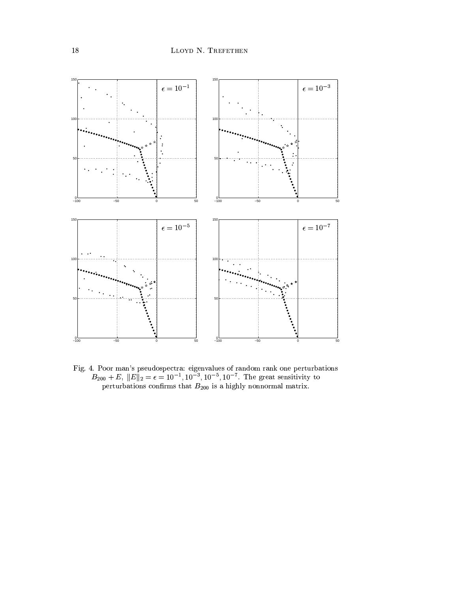

Fig. 4. Poor man's pseudospectra: eigenvalues of random rank one perturbations  $B_{200} + E$ ,  $||E||_2 = \epsilon = 10^{-1}$ ,  $10^{-3}$ ,  $10^{-5}$ ,  $10^{-7}$ . The great sensitivity to perturbations confirms that  $B_{200}$  is a highly nonnormal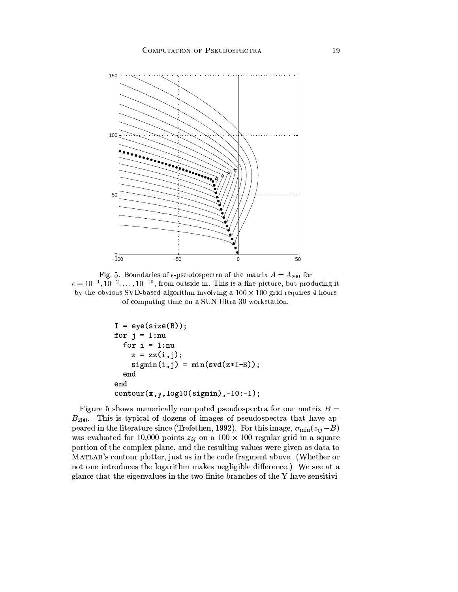

Fig. 5. Boundaries of  $\epsilon$ -pseudospectra of the matrix  $A = A_{200}$  for  $\epsilon = 10^{-1}, 10^{-2}, \ldots, 10^{-10}$ , from outside in. This is a fine picture, but producing it by the obvious SVD-based algorithm involving a  $100 \times 100$  grid requires 4 hours of computing time on a SUN Ultra 30 workstation.

```
I = eye(size(B));for j = 1:nu
  for i = 1:nu
    z = zz(i,j);signin(i,j) = min(svd(z*I-B));end
end
contour(x, y, log10(sigmin), -10:-1);
```
Figure 5 shows numerically computed pseudospectra for our matrix  $B =$  $B_{200}$ . This is typical of dozens of images of pseudospectra that have appeared in the literature since (Trefethen, 1992). For this image,  $\sigma_{\min}(z_{ij}-B)$ was evaluated for 10,000 points  $z_{ij}$  on a 100 × 100 regular grid in a square portion of the complex plane, and the resulting values were given as data to MATLAB's contour plotter, just as in the code fragment above. (Whether or not one introduces the logarithm makes negligible difference.) We see at a glance that the eigenvalues in the two finite branches of the Y have sensitivi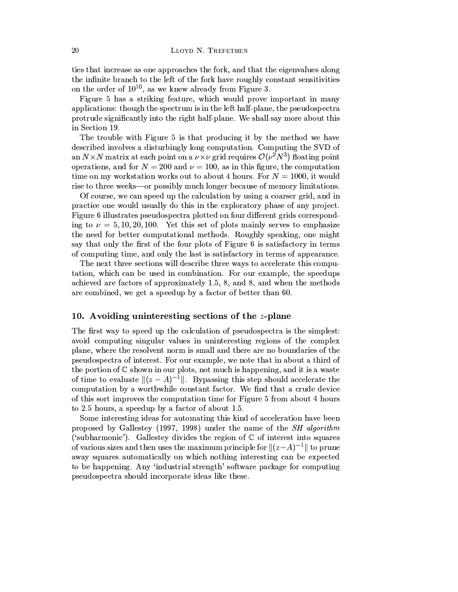ties that increase as one approaches the fork, and that the eigenvalues along the infinite branch to the left of the fork have roughly constant sensitivities on the order of  $10^{10}$ , as we knew already from Figure 3.

Figure 5 has a striking feature, which would prove important in many applications: though the spectrum is in the left half-plane, the pseudospectra protrude significantly into the right half-plane. We shall say more about this in Section 19.

The trouble with Figure 5 is that producing it by the method we have described involves a disturbingly long computation. Computing the SVD of an  $N \times N$  matrix at each point on a  $\nu \times \nu$  grid requires  $\mathcal{O}(\nu^2 N^3)$  floating point operations, and for  $N = 200$  and  $\nu = 100$ , as in this figure, the computation time on my workstation works out to about 4 hours. For  $N = 1000$ , it would rise to three weeks—or possibly much longer because of memory limitations.

Of course, we can speed up the calculation by using a coarser grid, and in practice one would usually do this in the exploratory phase of any project. Figure 6 illustrates pseudospectra plotted on four different grids corresponding to  $\nu = 5, 10, 20, 100$ . Yet this set of plots mainly serves to emphasize the need for better computational methods. Roughly speaking, one might say that only the first of the four plots of Figure 6 is satisfactory in terms of computing time, and only the last is satisfactory in terms of appearance.

The next three sections will describe three ways to accelerate this computation, which can be used in combination. For our example, the speedups achieved are factors of approximately 1.5, 8, and 8, and when the methods are combined, we get a speedup by a factor of better than 60.

# 10. Avoiding uninteresting sections of the  $z$ -plane

The first way to speed up the calculation of pseudospectra is the simplest: avoid computing singular values in uninteresting regions of the complex plane, where the resolvent norm is small and there are no boundaries of the pseudospectra of interest. For our example, we note that in about a third of the portion of  $\mathbb C$  shown in our plots, not much is happening, and it is a waste of time to evaluate  $||(z-A)^{-1}||$ . Bypassing this step should accelerate the computation by a worthwhile constant factor. We find that a crude device of this sort improves the computation time for Figure 5 from about 4 hours to 2.5 hours, a speedup by a factor of about 1.5.

Some interesting ideas for automating this kind of acceleration have been proposed by Gallestey (1997, 1998) under the name of the *SH algorithm* ('subharmonic'). Gallestey divides the region of  $\mathbb C$  of interest into squares of various sizes and then uses the maximum principle for  $\|(z-A)^{-1}\|$  to prune away squares automatically on which nothing interesting can be expected to be happening. Any 'industrial strength' software package for computing pseudospectra should incorporate ideas like these.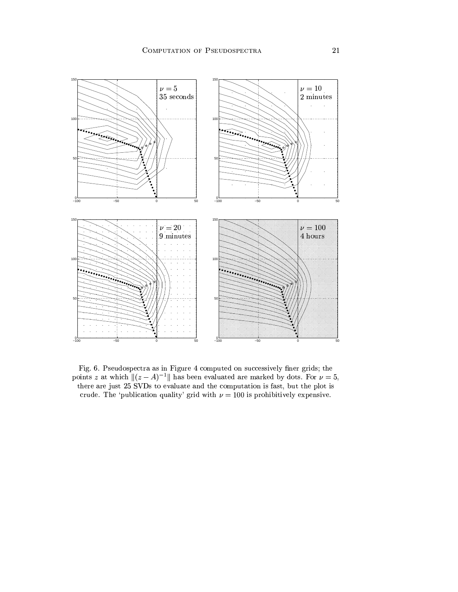

Fig. 6. Pseudospectra as in Figure 4 computed on successively finer grids; the points z at which  $||(z-A)^{-1}||$  has been evaluated are marked by dots. For  $\nu = 5$ , there are just 25 SVDs to evaluate and the computation is fast, but the plot is crude. The 'publication quality' grid with  $\nu = 100$  is prohibitively expensive.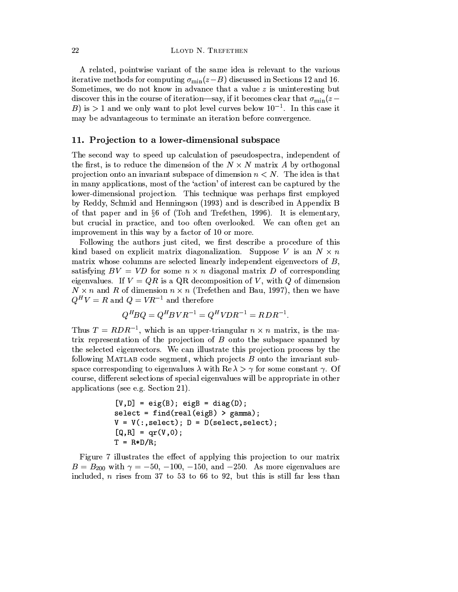A related, pointwise variant of the same idea is relevant to the various iterative methods for computing  $\sigma_{\min}(z-B)$  discussed in Sections 12 and 16. Sometimes, we do not know in advance that a value  $z$  is uninteresting but discover this in the course of iteration—say, if it becomes clear that  $\sigma_{\min}(z -$ B) is > 1 and we only want to plot level curves below  $10^{-1}$ . In this case it may be advantageous to terminate an iteration before convergence.

# 11. Projection to a lower-dimensional subspace

The second way to speed up calculation of pseudospectra, independent of the first, is to reduce the dimension of the  $N \times N$  matrix A by orthogonal projection onto an invariant subspace of dimension  $n < N$ . The idea is that in many applications, most of the 'action' of interest can be captured by the lower-dimensional projection. This technique was perhaps first employed by Reddy, Schmid and Henningson (1993) and is described in Appendix B of that paper and in  $\S6$  of (Toh and Trefethen, 1996). It is elementary, but crucial in practice, and too often overlooked. We can often get an improvement in this way by a factor of 10 or more.

Following the authors just cited, we first describe a procedure of this kind based on explicit matrix diagonalization. Suppose V is an  $N \times n$ matrix whose columns are selected linearly independent eigenvectors of  $B$ , satisfying  $BV = VD$  for some  $n \times n$  diagonal matrix D of corresponding eigenvalues. If  $V = QR$  is a QR decomposition of V, with Q of dimension  $N \times n$  and R of dimension  $n \times n$  (Trefethen and Bau, 1997), then we have  $Q^H V = R$  and  $Q = V R^{-1}$  and therefore

$$
Q^H B Q = Q^H B V R^{-1} = Q^H V D R^{-1} = R D R^{-1}.
$$

Thus  $T = RDR^{-1}$ , which is an upper-triangular  $n \times n$  matrix, is the matrix representation of the projection of  $B$  onto the subspace spanned by the selected eigenvectors. We can illustrate this projection process by the following MATLAB code segment, which projects  $B$  onto the invariant subspace corresponding to eigenvalues  $\lambda$  with Re  $\lambda > \gamma$  for some constant  $\gamma$ . Of course, different selections of special eigenvalues will be appropriate in other applications (see e.g. Section 21).

$$
[V,D] = eig(B); eigB = diag(D);
$$
  
select = find(real(eigB) > gamma);  

$$
V = V(:,select); D = D(self, select, select);
$$
  

$$
[Q,R] = qr(V,0);
$$
  

$$
T = R*D/R;
$$

Figure 7 illustrates the effect of applying this projection to our matrix  $B = B_{200}$  with  $\gamma = -50, -100, -150,$  and  $-250$ . As more eigenvalues are included,  $n$  rises from 37 to 53 to 66 to 92, but this is still far less than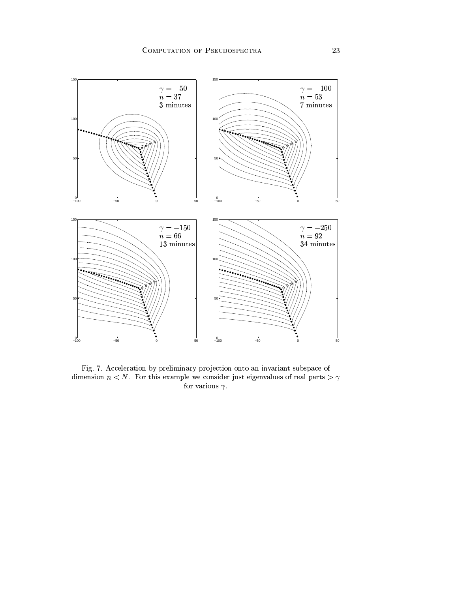

Fig. 7. Acceleration by preliminary projection onto an invariant subspace of dimension  $n < N$ . For this example we consider just eigenvalues of real parts  $> \gamma$ for various  $\gamma$ .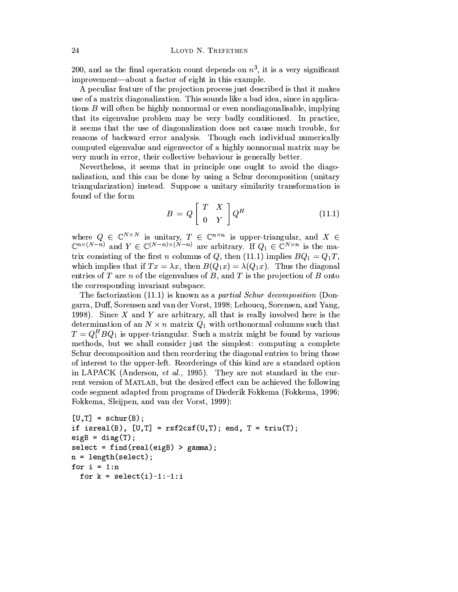200, and as the final operation count depends on  $n^3$ , it is a very significant improvement—about a factor of eight in this example.

A peculiar feature of the projection process just described is that it makes use of a matrix diagonalization. This sounds like a bad idea, since in applications  $B$  will often be highly nonnormal or even nondiagonalisable, implying that its eigenvalue problem may be very badly conditioned. In practice, it seems that the use of diagonalization does not cause much trouble, for reasons of backward error analysis. Though each individual numerically computed eigenvalue and eigenvector of a highly nonnormal matrix may be very much in error, their collective behaviour is generally better.

Nevertheless, it seems that in principle one ought to avoid the diagonalization, and this can be done by using a Schur decomposition (unitary triangularization) instead. Suppose a unitary similarity transformation is found of the form

$$
B = Q \left[ \begin{array}{cc} T & X \\ 0 & Y \end{array} \right] Q^H \tag{11.1}
$$

where  $Q \in \mathbb{C}^{N \times N}$  is unitary,  $T \in \mathbb{C}^{n \times n}$  is upper-triangular, and  $X \in \mathbb{C}^{n \times (N-n)}$  and  $Y \in \mathbb{C}^{(N-n) \times (N-n)}$  are arbitrary. If  $Q_1 \in \mathbb{C}^{N \times n}$  is the matrix consisting of the first *n* columns of Q, then (11.1) implies  $BQ_1 = Q_1T$ , which implies that if  $Tx = \lambda x$ , then  $B(Q_1x) = \lambda(Q_1x)$ . Thus the diagonal entries of T are n of the eigenvalues of B, and T is the projection of B onto the corresponding invariant subspace.

The factorization  $(11.1)$  is known as a *partial Schur decomposition* (Dongarra, Duff, Sorensen and van der Vorst, 1998; Lehoucq, Sorensen, and Yang, 1998). Since  $X$  and  $Y$  are arbitrary, all that is really involved here is the determination of an  $N \times n$  matrix  $Q_1$  with orthonormal columns such that  $T = Q_1^H B Q_1$  is upper-triangular. Such a matrix might be found by various methods, but we shall consider just the simplest: computing a complete Schur decomposition and then reordering the diagonal entries to bring those of interest to the upper-left. Reorderings of this kind are a standard option in LAPACK (Anderson, *et al.*, 1995). They are not standard in the current version of MATLAB, but the desired effect can be achieved the following code segment adapted from programs of Diederik Fokkema (Fokkema, 1996; Fokkema, Sleijpen, and van der Vorst, 1999):

```
[U,T] = schur(B);if isreal(B), [U,T] = rsf2csf(U,T); end, T = triu(T);
eigB = diag(T);select = find(real(eigB) > gamma);n = length(self);for i = 1:nfor k = select(i)-1:-1:i
```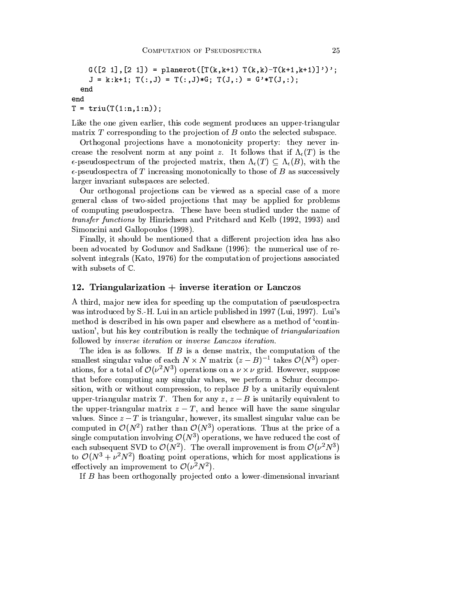```
G([2 1], [2 1]) = planerot([T(k, k+1), T(k, k) - T(k+1, k+1)]')';
    J = k:k+1; T(:,J) = T(:,J)*G; T(J,:) = G'*T(J,:);end
end
T = \text{triu}(T(1:n, 1:n));
```
Like the one given earlier, this code segment produces an upper-triangular matrix  $T$  corresponding to the projection of  $B$  onto the selected subspace.

Orthogonal projections have a monotonicity property: they never increase the resolvent norm at any point z. It follows that if  $\Lambda_{\epsilon}(T)$  is the  $\epsilon$ -pseudospectrum of the projected matrix, then  $\Lambda_{\epsilon}(T) \subseteq \Lambda_{\epsilon}(B)$ , with the  $\epsilon$ -pseudospectra of T increasing monotonically to those of B as successively larger invariant subspaces are selected.

Our orthogonal projections can be viewed as a special case of a more general class of two-sided projections that may be applied for problems of computing pseudospectra. These have been studied under the name of *transfer functions* by Hinrichsen and Pritchard and Kelb (1992, 1993) and Simoncini and Gallopoulos (1998).

Finally, it should be mentioned that a different projection idea has also been advocated by Godunov and Sadkane (1996): the numerical use of resolvent integrals (Kato, 1976) for the computation of projections associated with subsets of  $\mathbb{C}$ .

# 12. Triangularization  $+$  inverse iteration or Lanczos

A third, major new idea for speeding up the computation of pseudospectra was introduced by S.-H. Lui in an article published in 1997 (Lui, 1997). Lui's method is described in his own paper and elsewhere as a method of 'continuation', but his key contribution is really the technique of *triangularization* followed by *inverse iteration* or *inverse Lanczos iteration*.

The idea is as follows. If  $B$  is a dense matrix, the computation of the smallest singular value of each  $N \times N$  matrix  $(z - B)^{-1}$  takes  $\mathcal{O}(N^3)$  operations, for a total of  $\mathcal{O}(\nu^2 N^3)$  operations on a  $\nu \times \nu$  grid. However, suppose that before computing any singular values, we perform a Schur decomposition, with or without compression, to replace B by a unitarily equivalent upper-triangular matrix T. Then for any  $z, z - B$  is unitarily equivalent to the upper-triangular matrix  $z-T$ , and hence will have the same singular values. Since  $z-T$  is triangular, however, its smallest singular value can be computed in  $\mathcal{O}(N^2)$  rather than  $\mathcal{O}(N^3)$  operations. Thus at the price of a single computation involving  $\mathcal{O}(N^3)$  operations, we have reduced the cost of each subsequent SVD to  $\mathcal{O}(N^2)$ . The overall improvement is from  $\mathcal{O}(\nu^2 N^3)$ to  $\mathcal{O}(N^3 + \nu^2 N^2)$  floating point operations, which for most applications is effectively an improvement to  $\mathcal{O}(\nu^2 N^2)$ .

If B has been orthogonally projected onto a lower-dimensional invariant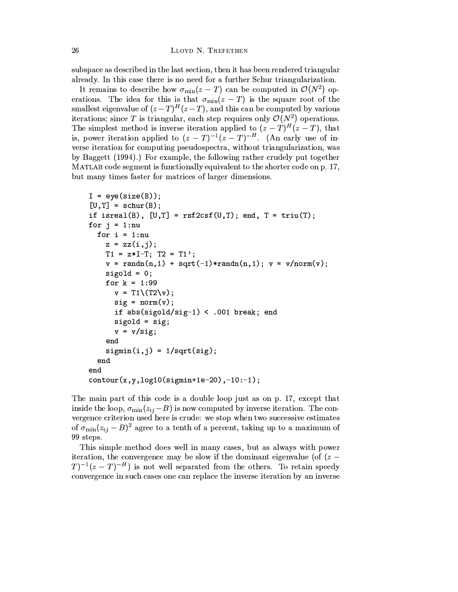LLOYD N. TREFETHEN

subspace as described in the last section, then it has been rendered triangular already. In this case there is no need for a further Schur triangularization.

It remains to describe how  $\sigma_{\min}(z-T)$  can be computed in  $\mathcal{O}(N^2)$  operations. The idea for this is that  $\sigma_{\min}(z-T)$  is the square root of the smallest eigenvalue of  $(z-T)^{H}(z-T)$ , and this can be computed by various iterations; since T is triangular, each step requires only  $\mathcal{O}(N^2)$  operations. The simplest method is inverse iteration applied to  $(z-T)^{H}(z-T)$ , that is, power iteration applied to  $(z-T)^{-1}(z-T)^{-H}$ . (An early use of inverse iteration for computing pseudospectra, without triangularization, was by Baggett (1994).) For example, the following rather crudely put together MATLAB code segment is functionally equivalent to the shorter code on p. 17, but many times faster for matrices of larger dimensions.

```
I = eye(size(B));[U,T] = schur(B);if isreal(B), [U,T] = rsf2csf(U,T); end, T = triu(T);
for j = 1:nu
  for i = 1: nu
    z = zz(i, i);T1 = z*I-T; T2 = T1';v = \text{randn}(n, 1) + \text{sqrt}(-1) * \text{randn}(n, 1); v = v/norm(v);signal = 0;for k = 1:99v = T1 \setminus (T2 \setminus v);
      sig = norm(v);if abs(sigold/sig-1) < .001 break; end
      sigold = sig;v = v/sig;end
    signin(i, j) = 1/sqrt(sig);end
end
contour(x, y, log10(sigmin+1e-20), -10:-1);
```
The main part of this code is a double loop just as on p. 17, except that inside the loop,  $\sigma_{\min}(z_{ij}-B)$  is now computed by inverse iteration. The convergence criterion used here is crude: we stop when two successive estimates of  $\sigma_{\min}(z_{ij}-B)^2$  agree to a tenth of a percent, taking up to a maximum of 99 steps.

This simple method does well in many cases, but as always with power iteration, the convergence may be slow if the dominant eigenvalue (of  $(z (T)^{-1}(z-T)^{-H}$  is not well separated from the others. To retain speedy convergence in such cases one can replace the inverse iteration by an inverse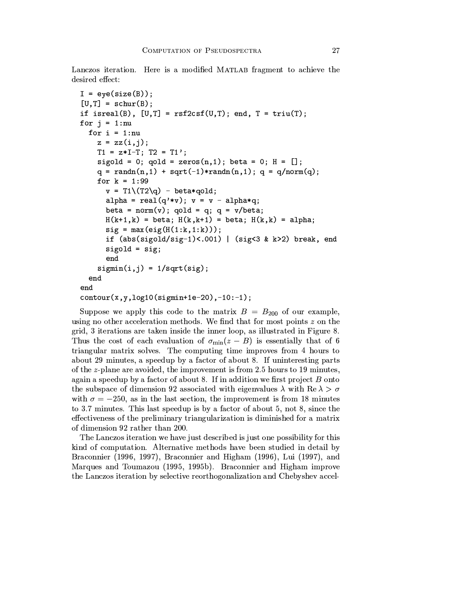Lanczos iteration. Here is a modified MATLAB fragment to achieve the desired effect:

```
I = eye(size(B));[U,T] = schur(B);if isreal(B), [U,T] = rsf2csf(U,T); end, T = triu(T);
for j = 1:nu
  for i = 1:nu
    z = zz(i,j);T1 = z*I-T; T2 = T1';sigold = 0; qold = zeros(n,1); beta = 0; H = [];
    q = randn(n,1) + sqrt(-1)*randn(n,1); q = q/norm(q);
    for k = 1:99v = T1 \ (T2 \qquad) - \beta \text{beta*qold};alpha = real(q' * v); v = v - alpha * q;beta = norm(v); qold = q; q = v/beta;
      H(k+1, k) = beta; H(k, k+1) = beta; H(k, k) = alpha;
      sig = max(eig(H(1:k,1:k)));
      if (abs(sigold/sig-1)<.001) | (sig<3 & k>2) break, end
      sigold = sig;end
    signin(i, j) = 1/sqrt(sig);end
endcontour(x, y, log10(sigmin+1e-20), -10:-1);
```
Suppose we apply this code to the matrix  $B = B_{200}$  of our example, using no other acceleration methods. We find that for most points  $z$  on the grid, 3 iterations are taken inside the inner loop, as illustrated in Figure 8. Thus the cost of each evaluation of  $\sigma_{\min}(z-B)$  is essentially that of 6 triangular matrix solves. The computing time improves from 4 hours to about 29 minutes, a speedup by a factor of about 8. If uninteresting parts of the z-plane are avoided, the improvement is from 2.5 hours to 19 minutes, again a speedup by a factor of about 8. If in addition we first project  $B$  onto the subspace of dimension 92 associated with eigenvalues  $\lambda$  with  $\text{Re }\lambda > \sigma$ with  $\sigma = -250$ , as in the last section, the improvement is from 18 minutes to 3.7 minutes. This last speedup is by a factor of about 5, not 8, since the effectiveness of the preliminary triangularization is diminished for a matrix of dimension 92 rather than 200.

The Lanczos iteration we have just described is just one possibility for this kind of computation. Alternative methods have been studied in detail by Braconnier (1996, 1997), Braconnier and Higham (1996), Lui (1997), and Marques and Toumazou (1995, 1995b). Braconnier and Higham improve the Lanczos iteration by selective reorthogonalization and Chebyshev accel-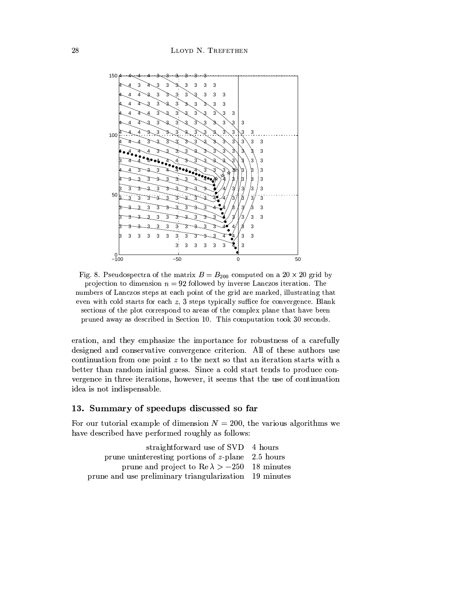

Fig. 8. Pseudospectra of the matrix  $B = B_{200}$  computed on a 20  $\times$  20 grid by projection to dimension  $n = 92$  followed by inverse Lanczos iteration. The numbers of Lanczos steps at each point of the grid are marked, illustrating that even with cold starts for each  $z$ , 3 steps typically suffice for convergence. Blank sections of the plot correspond to areas of the complex plane that have been pruned away as described in Section 10. This computation took 30 seconds.

eration, and they emphasize the importance for robustness of a carefully designed and conservative convergence criterion. All of these authors use continuation from one point  $z$  to the next so that an iteration starts with a better than random initial guess. Since a cold start tends to produce convergence in three iterations, however, it seems that the use of continuation idea is not indispensable.

# 13. Summary of speedups discussed so far

For our tutorial example of dimension  $N = 200$ , the various algorithms we have described have performed roughly as follows:

| straightforward use of SVD 4 hours                     |  |
|--------------------------------------------------------|--|
| prune uninteresting portions of $z$ -plane 2.5 hours   |  |
| prune and project to Re $\lambda > -250$ 18 minutes    |  |
| prune and use preliminary triangularization 19 minutes |  |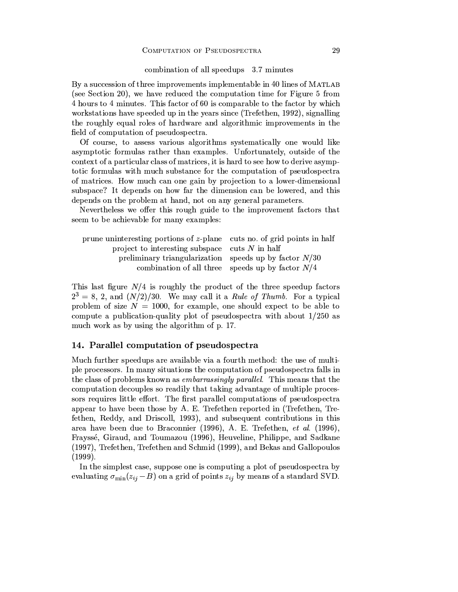#### combination of all speedups 3.7 minutes

By a succession of three improvements implementable in 40 lines of MATLAB (see Section 20), we have reduced the computation time for Figure 5 from 4 hours to 4 minutes. This factor of 60 is comparable to the factor by which workstations have speeded up in the years since (Trefethen, 1992), signalling the roughly equal roles of hardware and algorithmic improvements in the field of computation of pseudospectra.

Of course, to assess various algorithms systematically one would like asymptotic formulas rather than examples. Unfortunately, outside of the context of a particular class of matrices, it is hard to see how to derive asymptotic formulas with much substance for the computation of pseudospectra of matrices. How much can one gain by projection to a lower-dimensional subspace? It depends on how far the dimension can be lowered, and this depends on the problem at hand, not on any general parameters.

Nevertheless we offer this rough guide to the improvement factors that seem to be achievable for many examples:

| prune uninteresting portions of z-plane cuts no. of grid points in half |                                                    |
|-------------------------------------------------------------------------|----------------------------------------------------|
| project to interesting subspace cuts $N$ in half                        |                                                    |
| preliminary triangularization speeds up by factor $N/30$                |                                                    |
|                                                                         | combination of all three speeds up by factor $N/4$ |

This last figure  $N/4$  is roughly the product of the three speedup factors  $2^3 = 8$ , 2, and  $(N/2)/30$ . We may call it a *Rule of Thumb*. For a typical problem of size  $N = 1000$ , for example, one should expect to be able to compute a publication-quality plot of pseudospectra with about  $1/250$  as much work as by using the algorithm of p. 17.

# 14. Parallel computation of pseudospectra

Much further speedups are available via a fourth method: the use of multiple processors. In many situations the computation of pseudospectra falls in the class of problems known as *embarrassingly parallel*. This means that the computation decouples so readily that taking advantage of multiple processors requires little effort. The first parallel computations of pseudospectra appear to have been those by A. E. Trefethen reported in (Trefethen, Trefethen, Reddy, and Driscoll, 1993), and subsequent contributions in this area have been due to Braconnier (1996), A. E. Trefethen, et al. (1996), Frayssé, Giraud, and Toumazou (1996), Heuveline, Philippe, and Sadkane (1997), Trefethen, Trefethen and Schmid (1999), and Bekas and Gallopoulos  $(1999).$ 

In the simplest case, suppose one is computing a plot of pseudospectra by evaluating  $\sigma_{\min}(z_{ij} - B)$  on a grid of points  $z_{ij}$  by means of a standard SVD.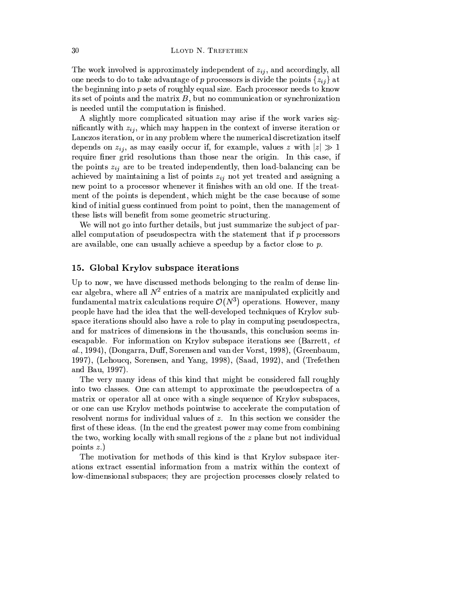The work involved is approximately independent of  $z_{ij}$ , and accordingly, all one needs to do to take advantage of p processors is divide the points  $\{z_{ij}\}\$ at the beginning into  $p$  sets of roughly equal size. Each processor needs to know its set of points and the matrix  $B$ , but no communication or synchronization is needed until the computation is finished.

A slightly more complicated situation may arise if the work varies significantly with  $z_{ij}$ , which may happen in the context of inverse iteration or Lanczos iteration, or in any problem where the numerical discretization itself depends on  $z_{ij}$ , as may easily occur if, for example, values z with  $|z| \gg 1$ require finer grid resolutions than those near the origin. In this case, if the points  $z_{ij}$  are to be treated independently, then load-balancing can be achieved by maintaining a list of points  $z_{ij}$  not yet treated and assigning a new point to a processor whenever it finishes with an old one. If the treatment of the points is dependent, which might be the case because of some kind of initial guess continued from point to point, then the management of these lists will benefit from some geometric structuring.

We will not go into further details, but just summarize the subject of parallel computation of pseudospectra with the statement that if  $p$  processors are available, one can usually achieve a speedup by a factor close to  $p$ .

#### 15. Global Krylov subspace iterations

Up to now, we have discussed methods belonging to the realm of dense linear algebra, where all  $N^2$  entries of a matrix are manipulated explicitly and fundamental matrix calculations require  $\mathcal{O}(N^3)$  operations. However, many people have had the idea that the well-developed techniques of Krylov subspace iterations should also have a role to play in computing pseudospectra, and for matrices of dimensions in the thousands, this conclusion seems inescapable. For information on Krylov subspace iterations see (Barrett, et al., 1994), (Dongarra, Duff, Sorensen and van der Vorst, 1998), (Greenbaum, 1997), (Lehoucq, Sorensen, and Yang, 1998), (Saad, 1992), and (Trefethen and Bau, 1997).

The very many ideas of this kind that might be considered fall roughly into two classes. One can attempt to approximate the pseudospectra of a matrix or operator all at once with a single sequence of Krylov subspaces, or one can use Krylov methods pointwise to accelerate the computation of resolvent norms for individual values of  $z$ . In this section we consider the first of these ideas. (In the end the greatest power may come from combining the two, working locally with small regions of the  $z$  plane but not individual points  $z.$ 

The motivation for methods of this kind is that Krylov subspace iterations extract essential information from a matrix within the context of low-dimensional subspaces; they are projection processes closely related to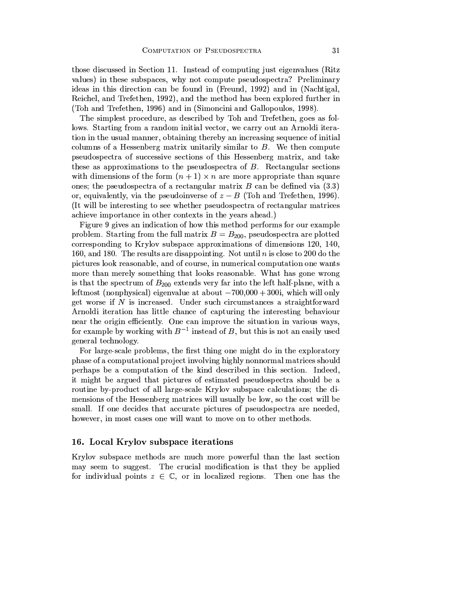those discussed in Section 11. Instead of computing just eigenvalues (Ritz values) in these subspaces, why not compute pseudospectra? Preliminary ideas in this direction can be found in (Freund, 1992) and in (Nachtigal, Reichel, and Trefethen, 1992), and the method has been explored further in (Toh and Trefethen, 1996) and in (Simoncini and Gallopoulos, 1998).

The simplest procedure, as described by Toh and Trefethen, goes as follows. Starting from a random initial vector, we carry out an Arnoldi iteration in the usual manner, obtaining thereby an increasing sequence of initial columns of a Hessenberg matrix unitarily similar to  $B$ . We then compute pseudospectra of successive sections of this Hessenberg matrix, and take these as approximations to the pseudospectra of  $B$ . Rectangular sections with dimensions of the form  $(n + 1) \times n$  are more appropriate than square ones; the pseudospectra of a rectangular matrix  $B$  can be defined via  $(3.3)$ or, equivalently, via the pseudoinverse of  $z - B$  (Toh and Trefethen, 1996). (It will be interesting to see whether pseudospectra of rectangular matrices achieve importance in other contexts in the years ahead.)

Figure 9 gives an indication of how this method performs for our example problem. Starting from the full matrix  $B = B_{200}$ , pseudospectra are plotted corresponding to Krylov subspace approximations of dimensions 120, 140, 160, and 180. The results are disappointing. Not until n is close to 200 do the pictures look reasonable, and of course, in numerical computation one wants more than merely something that looks reasonable. What has gone wrong is that the spectrum of  $B_{200}$  extends very far into the left half-plane, with a leftmost (nonphysical) eigenvalue at about  $-700,000 + 300i$ , which will only get worse if N is increased. Under such circumstances a straightforward Arnoldi iteration has little chance of capturing the interesting behaviour near the origin efficiently. One can improve the situation in various ways, for example by working with  $B^{-1}$  instead of B, but this is not an easily used general technology.

For large-scale problems, the first thing one might do in the exploratory phase of a computational project involving highly nonnormal matrices should perhaps be a computation of the kind described in this section. Indeed, it might be argued that pictures of estimated pseudospectra should be a routine by-product of all large-scale Krylov subspace calculations; the dimensions of the Hessenberg matrices will usually be low, so the cost will be small. If one decides that accurate pictures of pseudospectra are needed, however, in most cases one will want to move on to other methods.

# 16. Local Krylov subspace iterations

Krylov subspace methods are much more powerful than the last section may seem to suggest. The crucial modification is that they be applied for individual points  $z \in \mathbb{C}$ , or in localized regions. Then one has the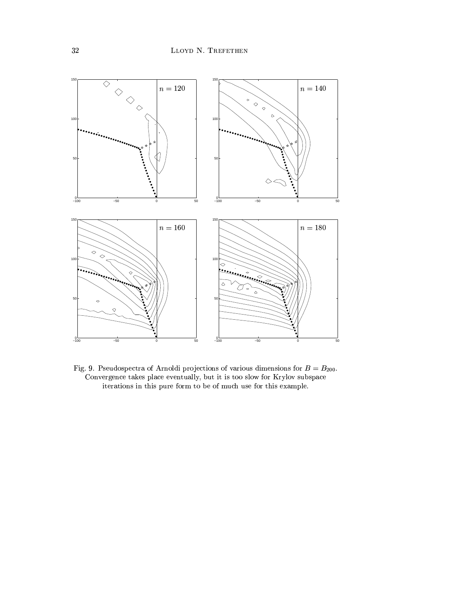

Fig. 9. Pseudospectra of Arnoldi projections of various dimensions for  $B = B_{200}$ . Convergence takes place eventually, but it is too slow for Krylov subspace iterations in this pure form to be of much use for this example.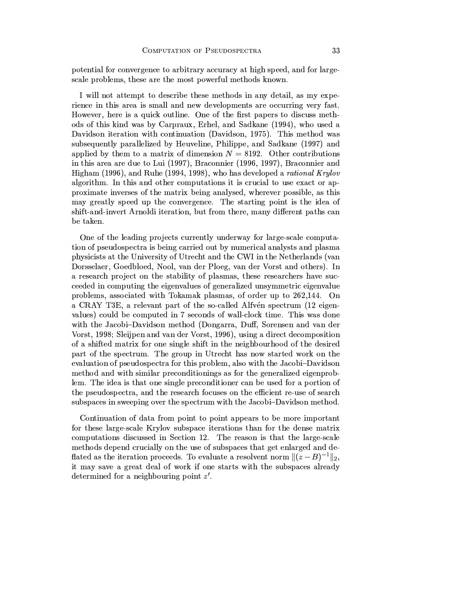potential for convergence to arbitrary accuracy at high speed, and for largescale problems, these are the most powerful methods known.

I will not attempt to describe these methods in any detail, as my experience in this area is small and new developments are occurring very fast. However, here is a quick outline. One of the first papers to discuss methods of this kind was by Carpraux, Erhel, and Sadkane (1994), who used a Davidson iteration with continuation (Davidson, 1975). This method was subsequently parallelized by Heuveline, Philippe, and Sadkane (1997) and applied by them to a matrix of dimension  $N = 8192$ . Other contributions in this area are due to Lui (1997), Braconnier (1996, 1997), Braconnier and Higham (1996), and Ruhe (1994, 1998), who has developed a rational Krylov algorithm. In this and other computations it is crucial to use exact or approximate inverses of the matrix being analysed, wherever possible, as this may greatly speed up the convergence. The starting point is the idea of shift-and-invert Arnoldi iteration, but from there, many different paths can be taken.

One of the leading projects currently underway for large-scale computation of pseudospectra is being carried out by numerical analysts and plasma physicists at the University of Utrecht and the CWI in the Netherlands (van Dorsselaer, Goedbloed, Nool, van der Ploeg, van der Vorst and others). In a research project on the stability of plasmas, these researchers have succeeded in computing the eigenvalues of generalized unsymmetric eigenvalue problems, associated with Tokamak plasmas, of order up to 262,144. On a CRAY T3E, a relevant part of the so-called Alfvén spectrum (12 eigenvalues) could be computed in 7 seconds of wall-clock time. This was done with the Jacobi-Davidson method (Dongarra, Duff, Sorensen and van der Vorst, 1998; Sleijpen and van der Vorst, 1996), using a direct decomposition of a shifted matrix for one single shift in the neighbourhood of the desired part of the spectrum. The group in Utrecht has now started work on the evaluation of pseudospectra for this problem, also with the Jacobi-Davidson method and with similar preconditionings as for the generalized eigenproblem. The idea is that one single preconditioner can be used for a portion of the pseudospectra, and the research focuses on the efficient re-use of search subspaces in sweeping over the spectrum with the Jacobi-Davidson method.

Continuation of data from point to point appears to be more important for these large-scale Krylov subspace iterations than for the dense matrix computations discussed in Section 12. The reason is that the large-scale methods depend crucially on the use of subspaces that get enlarged and deflated as the iteration proceeds. To evaluate a resolvent norm  $\|(z-B)^{-1}\|_2$ , it may save a great deal of work if one starts with the subspaces already determined for a neighbouring point z'.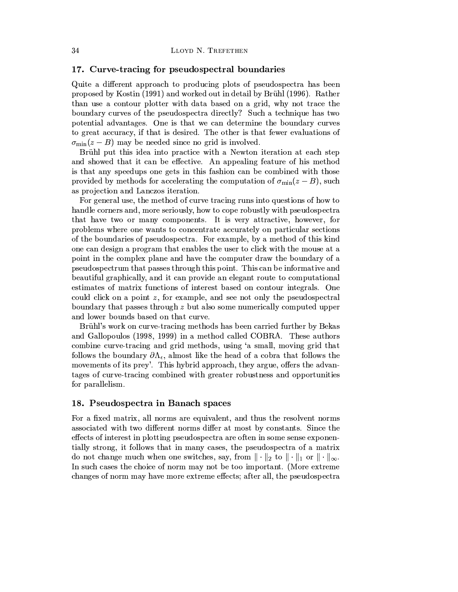# 17. Curve-tracing for pseudospectral boundaries

Quite a different approach to producing plots of pseudospectra has been proposed by Kostin (1991) and worked out in detail by Brühl (1996). Rather than use a contour plotter with data based on a grid, why not trace the boundary curves of the pseudospectra directly? Such a technique has two potential advantages. One is that we can determine the boundary curves to great accuracy, if that is desired. The other is that fewer evaluations of  $\sigma_{\min}(z-B)$  may be needed since no grid is involved.

Brühl put this idea into practice with a Newton iteration at each step and showed that it can be effective. An appealing feature of his method is that any speedups one gets in this fashion can be combined with those provided by methods for accelerating the computation of  $\sigma_{\min}(z-B)$ , such as projection and Lanczos iteration.

For general use, the method of curve tracing runs into questions of how to handle corners and, more seriously, how to cope robustly with pseudospectra that have two or many components. It is very attractive, however, for problems where one wants to concentrate accurately on particular sections of the boundaries of pseudospectra. For example, by a method of this kind one can design a program that enables the user to click with the mouse at a point in the complex plane and have the computer draw the boundary of a pseudospectrum that passes through this point. This can be informative and beautiful graphically, and it can provide an elegant route to computational estimates of matrix functions of interest based on contour integrals. One could click on a point  $z$ , for example, and see not only the pseudospectral boundary that passes through  $z$  but also some numerically computed upper and lower bounds based on that curve.

Brühl's work on curve-tracing methods has been carried further by Bekas and Gallopoulos (1998, 1999) in a method called COBRA. These authors combine curve-tracing and grid methods, using 'a small, moving grid that follows the boundary  $\partial \Lambda_{\epsilon}$ , almost like the head of a cobra that follows the movements of its prey'. This hybrid approach, they argue, offers the advantages of curve-tracing combined with greater robustness and opportunities for parallelism.

# 18. Pseudospectra in Banach spaces

For a fixed matrix, all norms are equivalent, and thus the resolvent norms associated with two different norms differ at most by constants. Since the effects of interest in plotting pseudospectra are often in some sense exponentially strong, it follows that in many cases, the pseudospectra of a matrix do not change much when one switches, say, from  $\|\cdot\|_2$  to  $\|\cdot\|_1$  or  $\|\cdot\|_{\infty}$ . In such cases the choice of norm may not be too important. (More extreme changes of norm may have more extreme effects; after all, the pseudospectra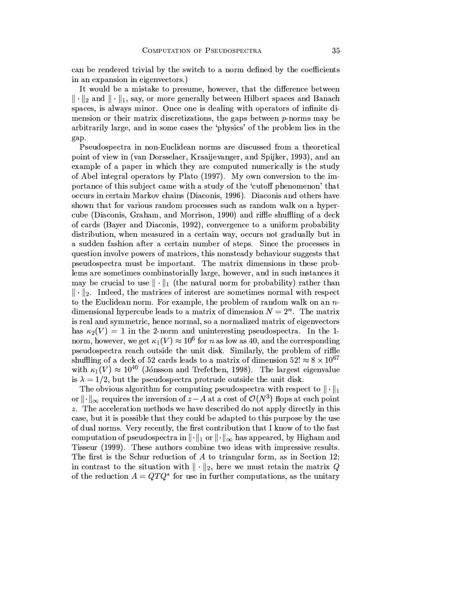can be rendered trivial by the switch to a norm defined by the coefficients in an expansion in eigenvectors.)

It would be a mistake to presume, however, that the difference between  $\|\cdot\|_2$  and  $\|\cdot\|_1$ , say, or more generally between Hilbert spaces and Banach spaces, is always minor. Once one is dealing with operators of infinite dimension or their matrix discretizations, the gaps between  $p$ -norms may be arbitrarily large, and in some cases the 'physics' of the problem lies in the gap.

Pseudospectra in non-Euclidean norms are discussed from a theoretical point of view in (van Dorsselaer, Kraaijevanger, and Spijker, 1993), and an example of a paper in which they are computed numerically is the study of Abel integral operators by Plato (1997). My own conversion to the importance of this subject came with a study of the 'cutoff phenomenon' that occurs in certain Markov chains (Diaconis, 1996). Diaconis and others have shown that for various random processes such as random walk on a hypercube (Diaconis, Graham, and Morrison, 1990) and riffle shuffling of a deck of cards (Bayer and Diaconis, 1992), convergence to a uniform probability distribution, when measured in a certain way, occurs not gradually but in a sudden fashion after a certain number of steps. Since the processes in question involve powers of matrices, this nonsteady behaviour suggests that pseudospectra must be important. The matrix dimensions in these problems are sometimes combinatorially large, however, and in such instances it may be crucial to use  $\|\cdot\|_1$  (the natural norm for probability) rather than  $\|\cdot\|_2$ . Indeed, the matrices of interest are sometimes normal with respect to the Euclidean norm. For example, the problem of random walk on an  $n$ dimensional hypercube leads to a matrix of dimension  $N = 2<sup>n</sup>$ . The matrix is real and symmetric, hence normal, so a normalized matrix of eigenvectors has  $\kappa_2(V) = 1$  in the 2-norm and uninteresting pseudospectra. In the 1norm, however, we get  $\kappa_1(V) \approx 10^6$  for *n* as low as 40, and the corresponding pseudospectra reach outside the unit disk. Similarly, the problem of riffle shuffling of a deck of 52 cards leads to a matrix of dimension  $52! \approx 8 \times 10^{67}$ with  $\kappa_1(V) \approx 10^{40}$  (Jónsson and Trefethen, 1998). The largest eigenvalue is  $\lambda = 1/2$ , but the pseudospectra protrude outside the unit disk.

The obvious algorithm for computing pseudospectra with respect to  $\|\cdot\|_1$ or  $\|\cdot\|_{\infty}$  requires the inversion of  $z-A$  at a cost of  $\mathcal{O}(N^3)$  flops at each point z. The acceleration methods we have described do not apply directly in this case, but it is possible that they could be adapted to this purpose by the use of dual norms. Very recently, the first contribution that I know of to the fast computation of pseudospectra in  $\|\cdot\|_1$  or  $\|\cdot\|_{\infty}$  has appeared, by Higham and Tisseur (1999). These authors combine two ideas with impressive results. The first is the Schur reduction of  $A$  to triangular form, as in Section 12; in contrast to the situation with  $\|\cdot\|_2$ , here we must retain the matrix Q of the reduction  $A = QTQ^*$  for use in further computations, as the unitary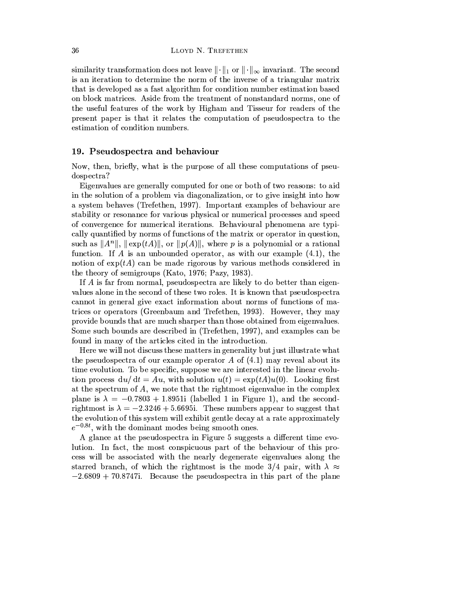similarity transformation does not leave  $\|\cdot\|_1$  or  $\|\cdot\|_{\infty}$  invariant. The second is an iteration to determine the norm of the inverse of a triangular matrix that is developed as a fast algorithm for condition number estimation based on block matrices. Aside from the treatment of nonstandard norms, one of the useful features of the work by Higham and Tisseur for readers of the present paper is that it relates the computation of pseudospectra to the estimation of condition numbers.

#### 19. Pseudospectra and behaviour

Now, then, briefly, what is the purpose of all these computations of pseudospectra?

Eigenvalues are generally computed for one or both of two reasons: to aid in the solution of a problem via diagonalization, or to give insight into how a system behaves (Trefethen, 1997). Important examples of behaviour are stability or resonance for various physical or numerical processes and speed of convergence for numerical iterations. Behavioural phenomena are typically quantified by norms of functions of the matrix or operator in question, such as  $||A^n||$ ,  $||\exp(tA)||$ , or  $||p(A)||$ , where p is a polynomial or a rational function. If A is an unbounded operator, as with our example  $(4.1)$ , the notion of  $\exp(tA)$  can be made rigorous by various methods considered in the theory of semigroups (Kato, 1976; Pazy, 1983).

If A is far from normal, pseudospectra are likely to do better than eigenvalues alone in the second of these two roles. It is known that pseudospectra cannot in general give exact information about norms of functions of matrices or operators (Greenbaum and Trefethen, 1993). However, they may provide bounds that are much sharper than those obtained from eigenvalues. Some such bounds are described in (Trefethen, 1997), and examples can be found in many of the articles cited in the introduction.

Here we will not discuss these matters in generality but just illustrate what the pseudospectra of our example operator  $A$  of  $(4.1)$  may reveal about its time evolution. To be specific, suppose we are interested in the linear evolution process  $du/dt = Au$ , with solution  $u(t) = \exp(tA)u(0)$ . Looking first at the spectrum of  $A$ , we note that the rightmost eigenvalue in the complex plane is  $\lambda = -0.7803 + 1.8951$  (labelled 1 in Figure 1), and the secondrightmost is  $\lambda = -2.3246 + 5.6695i$ . These numbers appear to suggest that the evolution of this system will exhibit gentle decay at a rate approximately  $e^{-0.8t}$ , with the dominant modes being smooth ones.

A glance at the pseudospectra in Figure 5 suggests a different time evolution. In fact, the most conspicuous part of the behaviour of this process will be associated with the nearly degenerate eigenvalues along the starred branch, of which the rightmost is the mode 3/4 pair, with  $\lambda \approx$  $-2.6809 + 70.8747$ . Because the pseudospectra in this part of the plane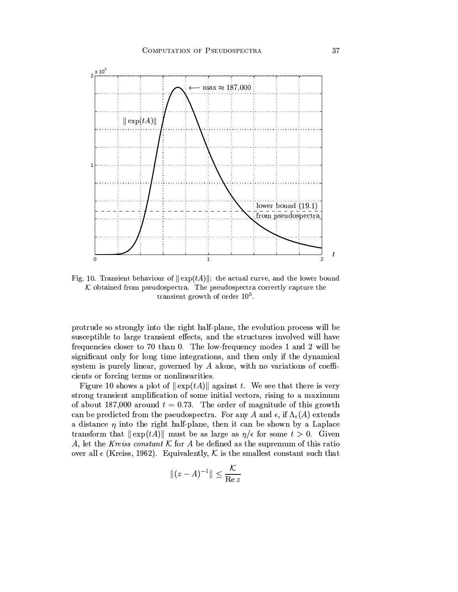

Fig. 10. Transient behaviour of  $\|\exp(tA)\|$ : the actual curve, and the lower bound  $K$  obtained from pseudospectra. The pseudospectra correctly capture the transient growth of order  $10<sup>5</sup>$ .

protrude so strongly into the right half-plane, the evolution process will be susceptible to large transient effects, and the structures involved will have frequencies closer to 70 than 0. The low-frequency modes 1 and 2 will be significant only for long time integrations, and then only if the dynamical system is purely linear, governed by  $A$  alone, with no variations of coefficients or forcing terms or nonlinearities.

Figure 10 shows a plot of  $\|\exp(tA)\|$  against t. We see that there is very strong transient amplification of some initial vectors, rising to a maximum of about 187,000 around  $t = 0.73$ . The order of magnitude of this growth can be predicted from the pseudospectra. For any A and  $\epsilon$ , if  $\Lambda_{\epsilon}(A)$  extends a distance  $\eta$  into the right half-plane, then it can be shown by a Laplace transform that  $\|\exp(tA)\|$  must be as large as  $\eta/\epsilon$  for some  $t > 0$ . Given A, let the Kreiss constant  $K$  for A be defined as the supremum of this ratio over all  $\epsilon$  (Kreiss, 1962). Equivalently, K is the smallest constant such that

$$
\|(z-A)^{-1}\| \le \frac{\mathcal{K}}{\operatorname{Re} z}
$$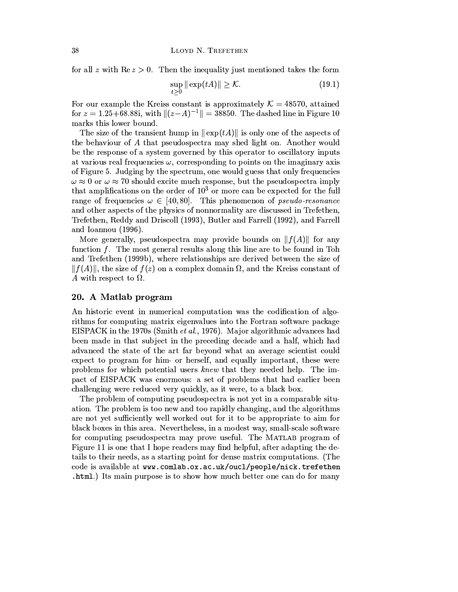for all z with  $\text{Re } z > 0$ . Then the inequality just mentioned takes the form

$$
\sup_{t\geq 0} \|\exp(tA)\| \geq \mathcal{K}.\tag{19.1}
$$

For our example the Kreiss constant is approximately  $\mathcal{K} = 48570$ , attained for  $z = 1.25 + 68.88i$ , with  $||(z-A)^{-1}|| = 38850$ . The dashed line in Figure 10 marks this lower bound.

The size of the transient hump in  $\|\exp(tA)\|$  is only one of the aspects of the behaviour of A that pseudospectra may shed light on. Another would be the response of a system governed by this operator to oscillatory inputs at various real frequencies  $\omega$ , corresponding to points on the imaginary axis of Figure 5. Judging by the spectrum, one would guess that only frequencies  $\omega \approx 0$  or  $\omega \approx 70$  should excite much response, but the pseudospectra imply that amplifications on the order of  $10<sup>3</sup>$  or more can be expected for the full range of frequencies  $\omega \in [40, 80]$ . This phenomenon of *pseudo-resonance* and other aspects of the physics of nonnormality are discussed in Trefethen, Trefethen, Reddy and Driscoll (1993), Butler and Farrell (1992), and Farrell and Ioannou (1996).

More generally, pseudospectra may provide bounds on  $||f(A)||$  for any function  $f$ . The most general results along this line are to be found in Toh and Trefethen (1999b), where relationships are derived between the size of  $||f(A)||$ , the size of  $f(z)$  on a complex domain  $\Omega$ , and the Kreiss constant of A with respect to  $\Omega$ .

#### 20. A Matlab program

An historic event in numerical computation was the codification of algorithms for computing matrix eigenvalues into the Fortran software package EISPACK in the 1970s (Smith *et al.*, 1976). Major algorithmic advances had been made in that subject in the preceding decade and a half, which had advanced the state of the art far beyond what an average scientist could expect to program for him- or herself, and equally important, these were problems for which potential users knew that they needed help. The impact of EISPACK was enormous: a set of problems that had earlier been challenging were reduced very quickly, as it were, to a black box.

The problem of computing pseudospectra is not yet in a comparable situation. The problem is too new and too rapidly changing, and the algorithms are not yet sufficiently well worked out for it to be appropriate to aim for black boxes in this area. Nevertheless, in a modest way, small-scale software for computing pseudospectra may prove useful. The MATLAB program of Figure 11 is one that I hope readers may find helpful, after adapting the details to their needs, as a starting point for dense matrix computations. (The code is available at www.comlab.ox.ac.uk/oucl/people/nick.trefethen .html.) Its main purpose is to show how much better one can do for many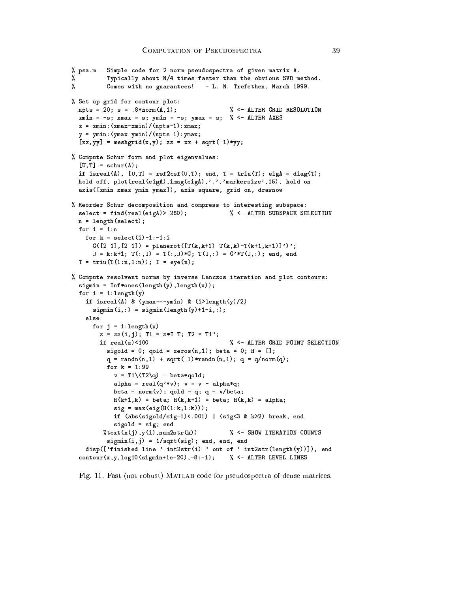```
% psa.m - Simple code for 2-norm pseudospectra of given matrix A.
          Typically about N/4 times faster than the obvious SVD method.
\gamma%
          Comes with no guarantees! - L. N. Trefethen, March 1999.
% Set up grid for contour plot:
  npts = 20; s = .8*norm(A, 1);
                                              % <- ALTER GRID RESOLUTION
  xmin = -s; xmax = s; ymin = -s; ymax = s; % <- ALTER AXES
  x = xmin: (xmax-xmin) / (npts-1): xmax;y = ymin: (ymax - ymin) / (npts - 1) : ymax;[xx, yy] = meshgrid(x, y); zz = xx + sqrt(-1) * yy;% Compute Schur form and plot eigenvalues:
  [U, T] = schur(A);if isreal(A), [U, T] = rsf2csf(U, T); end, T = triu(T); eigA = diag(T);
  hold off, plot(real(eigA), imag(eigA),'.', 'markersize', 15), hold on
  axis([xmin xmax ymin ymax]), axis square, grid on, drawnow
% Reorder Schur decomposition and compress to interesting subspace:
  select = find(real(eigA) > -250);% <- ALTER SUBSPACE SELECTION
  n = length(select);for i = 1:nfor k = select(i)-1:-1:iG([2 1], [2 1]) = planerot([T(k, k+1), T(k, k) - T(k+1, k+1)]');
      J = k:k+1; T(:,J) = T(:,J)*G; T(J,:) = G'*T(J,:); end, end
  T = \text{triu}(T(1:n,1:n)); I = eye(n);% Compute resolvent norms by inverse Lanczos iteration and plot contours:
  signin = Inf*ones(length(y), length(x));for i = 1: length (y)if isreal(A) & (ymax==-ymin) & (i>length(y)/2)signin(i,:) = signin(length(y)+1-i,:);else
      for j = 1: length (x)z = zz(i, j); T1 = z*I-T; T2 = T1';
                                               % <- ALTER GRID POINT SELECTION
        if real(z)<100
          sigold = 0; qold = zeros(n, 1); beta = 0; H = [];
          q = randn(n,1) + sqrt(-1)*randn(n,1); q = q/norm(q);
          for k = 1:99v = T1 \ (T2 \qquad q) - beta * qold;alpha = real(q'*v); v = v - alpha*q;
            beta = norm(v); qold = q; q = v/beta;
            H(k+1, k) = \text{beta}; H(k, k+1) = \text{beta}; H(k, k) = \text{alpha};sig = max(eig(H(1:k,1:k)));
            if (abs(sigold/sig-1)<.001) | (sig<3 & k>2) break, end
            sigold = sig; end%text(x(j),y(i),num2str(k))% <- SHOW ITERATION COUNTS
          signin(i, j) = 1/sqrt(sig); end, end, enddisp(['finished line 'int2str(i) 'out of 'int2str(length(y))]), endcontour(x, y, log10(sigmin+1e-20), -8:-1); \frac{1}{2} <- ALTER LEVEL LINES
```
Fig. 11. Fast (not robust) MATLAB code for pseudospectra of dense matrices.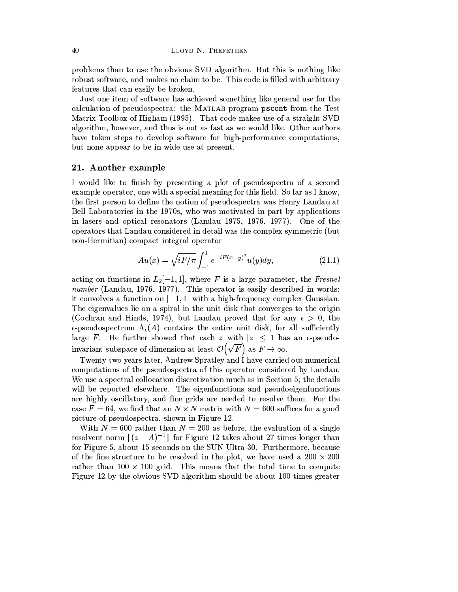problems than to use the obvious SVD algorithm. But this is nothing like robust software, and makes no claim to be. This code is filled with arbitrary features that can easily be broken.

Just one item of software has achieved something like general use for the calculation of pseudospectra: the MATLAB program pscont from the Test Matrix Toolbox of Higham (1995). That code makes use of a straight SVD algorithm, however, and thus is not as fast as we would like. Other authors have taken steps to develop software for high-performance computations, but none appear to be in wide use at present.

# 21. Another example

I would like to finish by presenting a plot of pseudospectra of a second example operator, one with a special meaning for this field. So far as I know, the first person to define the notion of pseudospectra was Henry Landau at Bell Laboratories in the 1970s, who was motivated in part by applications in lasers and optical resonators (Landau 1975, 1976, 1977). One of the operators that Landau considered in detail was the complex symmetric (but non-Hermitian) compact integral operator

$$
Au(x) = \sqrt{iF/\pi} \int_{-1}^{1} e^{-iF(x-y)^2} u(y) dy,
$$
 (21.1)

acting on functions in  $L_2[-1,1]$ , where F is a large parameter, the Fresnel number (Landau, 1976, 1977). This operator is easily described in words: it convolves a function on  $[-1, 1]$  with a high-frequency complex Gaussian. The eigenvalues lie on a spiral in the unit disk that converges to the origin (Cochran and Hinds, 1974), but Landau proved that for any  $\epsilon > 0$ , the  $\epsilon$ -pseudospectrum  $\Lambda_{\epsilon}(A)$  contains the entire unit disk, for all sufficiently large F. He further showed that each z with  $|z| \leq 1$  has an  $\epsilon$ -pseudoinvariant subspace of dimension at least  $\mathcal{O}(\sqrt{F})$  as  $F \to \infty$ .

Twenty-two years later, Andrew Spratley and I have carried out numerical computations of the pseudospectra of this operator considered by Landau. We use a spectral collocation discretization much as in Section 5; the details will be reported elsewhere. The eigenfunctions and pseudoeigenfunctions are highly oscillatory, and fine grids are needed to resolve them. For the case  $F = 64$ , we find that an  $N \times N$  matrix with  $N = 600$  suffices for a good picture of pseudospectra, shown in Figure 12.

With  $N = 600$  rather than  $N = 200$  as before, the evaluation of a single resolvent norm  $\|(z-A)^{-1}\|$  for Figure 12 takes about 27 times longer than for Figure 5, about 15 seconds on the SUN Ultra 30. Furthermore, because of the fine structure to be resolved in the plot, we have used a  $200 \times 200$ rather than  $100 \times 100$  grid. This means that the total time to compute Figure 12 by the obvious SVD algorithm should be about 100 times greater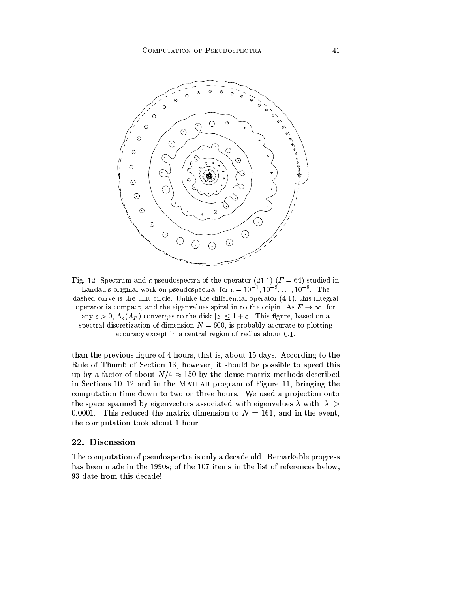

Fig. 12. Spectrum and  $\epsilon$ -pseudospectra of the operator (21.1) ( $F = 64$ ) studied in Landau's original work on pseudospectra, for  $\epsilon = 10^{-1}, 10^{-2}, \ldots, 10^{-8}$ . The dashed curve is the unit circle. Unlike the differential operator  $(4.1)$ , this integral operator is compact, and the eigenvalues spiral in to the origin. As  $F \to \infty$ , for any  $\epsilon > 0$ ,  $\Lambda_{\epsilon}(A_F)$  converges to the disk  $|z| \leq 1 + \epsilon$ . This figure, based on a spectral discretization of dimension  $N = 600$ , is probably accurate to plotting accuracy except in a central region of radius about 0.1.

than the previous figure of 4 hours, that is, about 15 days. According to the Rule of Thumb of Section 13, however, it should be possible to speed this up by a factor of about  $N/4 \approx 150$  by the dense matrix methods described in Sections 10-12 and in the MATLAB program of Figure 11, bringing the computation time down to two or three hours. We used a projection onto the space spanned by eigenvectors associated with eigenvalues  $\lambda$  with  $|\lambda|$ 0.0001. This reduced the matrix dimension to  $N = 161$ , and in the event, the computation took about 1 hour.

## 22. Discussion

The computation of pseudospectra is only a decade old. Remarkable progress has been made in the 1990s; of the 107 items in the list of references below, 93 date from this decade!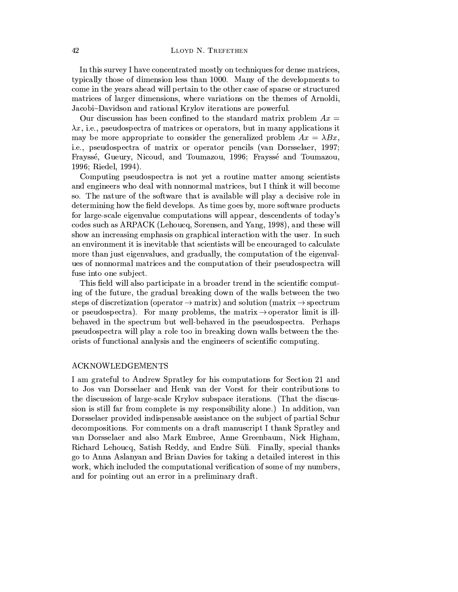In this survey I have concentrated mostly on techniques for dense matrices, typically those of dimension less than 1000. Many of the developments to come in the years ahead will pertain to the other case of sparse or structured matrices of larger dimensions, where variations on the themes of Arnoldi, Jacobi-Davidson and rational Krylov iterations are powerful.

Our discussion has been confined to the standard matrix problem  $Ax =$  $\lambda x$ , i.e., pseudospectra of matrices or operators, but in many applications it may be more appropriate to consider the generalized problem  $Ax = \lambda Bx$ , i.e., pseudospectra of matrix or operator pencils (van Dorsselaer, 1997; Frayssé, Gueury, Nicoud, and Toumazou, 1996; Frayssé and Toumazou, 1996: Riedel, 1994).

Computing pseudospectra is not yet a routine matter among scientists and engineers who deal with nonnormal matrices, but I think it will become so. The nature of the software that is available will play a decisive role in determining how the field develops. As time goes by, more software products for large-scale eigenvalue computations will appear, descendents of today's codes such as ARPACK (Lehoucq, Sorensen, and Yang, 1998), and these will show an increasing emphasis on graphical interaction with the user. In such an environment it is inevitable that scientists will be encouraged to calculate more than just eigenvalues, and gradually, the computation of the eigenvalues of nonnormal matrices and the computation of their pseudospectra will fuse into one subject.

This field will also participate in a broader trend in the scientific computing of the future, the gradual breaking down of the walls between the two steps of discretization (operator  $\rightarrow$  matrix) and solution (matrix  $\rightarrow$  spectrum or pseudospectra). For many problems, the matrix  $\rightarrow$  operator limit is illbehaved in the spectrum but well-behaved in the pseudospectra. Perhaps pseudospectra will play a role too in breaking down walls between the theorists of functional analysis and the engineers of scientific computing.

### **ACKNOWLEDGEMENTS**

I am grateful to Andrew Spratley for his computations for Section 21 and to Jos van Dorsselaer and Henk van der Vorst for their contributions to the discussion of large-scale Krylov subspace iterations. (That the discussion is still far from complete is my responsibility alone.) In addition, van Dorsselaer provided indispensable assistance on the subject of partial Schur decompositions. For comments on a draft manuscript I thank Spratley and van Dorsselaer and also Mark Embree, Anne Greenbaum, Nick Higham, Richard Lehoucq, Satish Reddy, and Endre Süli. Finally, special thanks go to Anna Aslanyan and Brian Davies for taking a detailed interest in this work, which included the computational verification of some of my numbers, and for pointing out an error in a preliminary draft.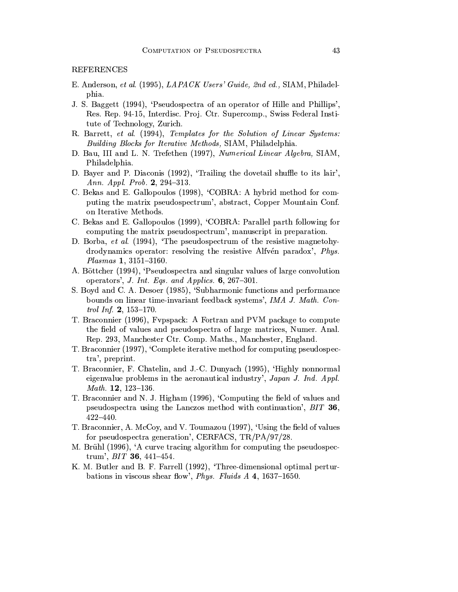**REFERENCES** 

- E. Anderson, et al. (1995), LAPACK Users' Guide, 2nd ed., SIAM, Philadelphia.
- J. S. Baggett (1994), 'Pseudospectra of an operator of Hille and Phillips', Res. Rep. 94-15, Interdisc. Proj. Ctr. Supercomp., Swiss Federal Institute of Technology, Zurich.
- R. Barrett, et al. (1994), Templates for the Solution of Linear Systems: Building Blocks for Iterative Methods, SIAM, Philadelphia.
- D. Bau, III and L. N. Trefethen (1997), Numerical Linear Algebra, SIAM, Philadelphia.
- D. Bayer and P. Diaconis (1992), 'Trailing the dovetail shuffle to its lair', Ann. Appl. Prob. 2, 294-313.
- C. Bekas and E. Gallopoulos (1998), 'COBRA: A hybrid method for computing the matrix pseudospectrum', abstract, Copper Mountain Conf. on Iterative Methods.
- C. Bekas and E. Gallopoulos (1999), 'COBRA: Parallel parth following for computing the matrix pseudospectrum', manuscript in preparation.
- D. Borba, et al. (1994), 'The pseudospectrum of the resistive magnetohydrodynamics operator: resolving the resistive Alfvén paradox', Phys. Plasmas 1, 3151-3160.
- A. Böttcher (1994), 'Pseudospectra and singular values of large convolution operators', J. Int. Eqs. and Applics.  $6, 267-301$ .
- S. Boyd and C. A. Desoer (1985), 'Subharmonic functions and performance bounds on linear time-invariant feedback systems', IMA J. Math. Control Inf. 2,  $153-170$ .
- T. Braconnier (1996), Fypspack: A Fortran and PVM package to compute the field of values and pseudospectra of large matrices, Numer. Anal. Rep. 293, Manchester Ctr. Comp. Maths., Manchester, England.
- T. Braconnier (1997), 'Complete iterative method for computing pseudospectra', preprint.
- T. Braconnier, F. Chatelin, and J.-C. Dunyach (1995), 'Highly nonnormal eigenvalue problems in the aeronautical industry', Japan J. Ind. Appl. *Math.* **12**, 123-136.
- T. Braconnier and N. J. Higham (1996), 'Computing the field of values and pseudospectra using the Lanczos method with continuation', BIT 36,  $422 - 440.$
- T. Braconnier, A. McCoy, and V. Toumazou (1997), 'Using the field of values for pseudospectra generation', CERFACS, TR/PA/97/28.
- M. Brühl (1996), 'A curve tracing algorithm for computing the pseudospectrum', BIT 36, 441-454.
- K. M. Butler and B. F. Farrell (1992), 'Three-dimensional optimal perturbations in viscous shear flow', Phys. Fluids A 4, 1637-1650.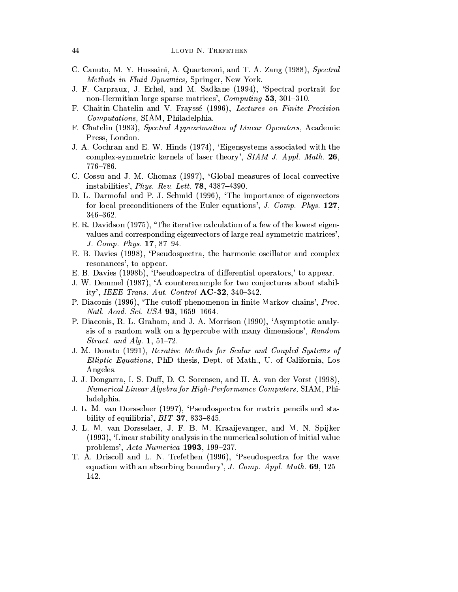- C. Canuto, M. Y. Hussaini, A. Quarteroni, and T. A. Zang (1988), Spectral Methods in Fluid Dynamics, Springer, New York.
- J. F. Carpraux, J. Erhel, and M. Sadkane (1994), 'Spectral portrait for non-Hermitian large sparse matrices', *Computing* 53, 301-310.
- F. Chaitin-Chatelin and V. Frayssé (1996), Lectures on Finite Precision *Computations*, SIAM, Philadelphia.
- F. Chatelin (1983), Spectral Approximation of Linear Operators, Academic Press, London.
- J. A. Cochran and E. W. Hinds (1974), 'Eigensystems associated with the complex-symmetric kernels of laser theory', SIAM J. Appl. Math. 26,  $776 - 786.$
- C. Cossu and J. M. Chomaz (1997), 'Global measures of local convective instabilities', *Phys. Rev. Lett.* **78**,  $4387-4390$ .
- D. L. Darmofal and P. J. Schmid (1996), 'The importance of eigenvectors for local preconditioners of the Euler equations', J. Comp. Phys. 127,  $346 - 362.$
- E. R. Davidson (1975), 'The iterative calculation of a few of the lowest eigenvalues and corresponding eigenvectors of large real-symmetric matrices', J. Comp. Phys. 17, 87-94.
- E. B. Davies (1998), 'Pseudospectra, the harmonic oscillator and complex resonances', to appear.
- E. B. Davies (1998b), 'Pseudospectra of differential operators,' to appear.
- J. W. Demmel (1987), 'A counterexample for two conjectures about stability', IEEE Trans. Aut. Control  $AC-32$ , 340-342.
- P. Diaconis (1996), 'The cutoff phenomenon in finite Markov chains', Proc. Natl. Acad. Sci. USA 93, 1659-1664.
- P. Diaconis, R. L. Graham, and J. A. Morrison (1990), 'Asymptotic analysis of a random walk on a hypercube with many dimensions', Random *Struct.* and Alg.  $1, 51-72$ .
- J. M. Donato (1991), *Iterative Methods for Scalar and Coupled Systems of* Elliptic Equations, PhD thesis, Dept. of Math., U. of California, Los Angeles.
- J. J. Dongarra, I. S. Duff, D. C. Sorensen, and H. A. van der Vorst (1998), Numerical Linear Algebra for High-Performance Computers, SIAM, Philadelphia.
- J. L. M. van Dorsselaer (1997), 'Pseudospectra for matrix pencils and stability of equilibria',  $BIT$  37, 833-845.
- J. L. M. van Dorsselaer, J. F. B. M. Kraaijevanger, and M. N. Spijker (1993), 'Linear stability analysis in the numerical solution of initial value problems', Acta Numerica 1993, 199-237.
- T. A. Driscoll and L. N. Trefethen (1996), 'Pseudospectra for the wave equation with an absorbing boundary', J. Comp. Appl. Math.  $69$ , 125-142.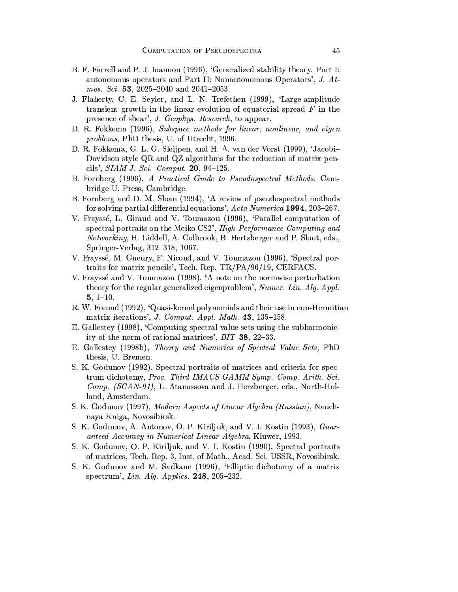- B. F. Farrell and P. J. Ioannou (1996), 'Generalized stability theory. Part I: autonomous operators and Part II: Nonautonomous Operators', J. Atmos. Sci. 53, 2025-2040 and 2041-2053.
- J. Flaherty, C. E. Seyler, and L. N. Trefethen (1999), 'Large-amplitude transient growth in the linear evolution of equatorial spread  $F$  in the presence of shear', J. Geophys. Research, to appear.
- D. R. Fokkema (1996), Subspace methods for linear, nonlinear, and eigen *problems*, PhD thesis, U. of Utrecht, 1996.
- D. R. Fokkema, G. L. G. Sleijpen, and H. A. van der Vorst (1999), 'Jacobi-Davidson style QR and QZ algorithms for the reduction of matrix pencils',  $SIAM J. Sci. Comput. 20, 94-125.$
- B. Fornberg (1996), A Practical Guide to Pseudospectral Methods, Cambridge U. Press, Cambridge.
- B. Fornberg and D. M. Sloan (1994), 'A review of pseudospectral methods for solving partial differential equations', Acta Numerica 1994, 203-267.
- V. Frayssé, L. Giraud and V. Toumazou (1996), 'Parallel computation of spectral portraits on the Meiko CS2', High-Performance Computing and Networking, H. Liddell, A. Colbrook, B. Hertzberger and P. Sloot, eds., Springer-Verlag, 312-318, 1067.
- V. Frayssé, M. Gueury, F. Nicoud, and V. Toumazou (1996), 'Spectral portraits for matrix pencils', Tech. Rep. TR/PA/96/19, CERFACS.
- V. Frayssé and V. Toumazou (1998), 'A note on the normwise perturbation theory for the regular generalized eigenproblem', Numer. Lin. Alg. Appl.  $5, 1-10.$
- R. W. Freund (1992), 'Quasi-kernel polynomials and their use in non-Hermitian matrix iterations', J. Comput. Appl. Math. 43, 135-158.
- E. Gallestey (1998), 'Computing spectral value sets using the subharmonicity of the norm of rational matrices', BIT 38, 22-33.
- E. Gallestey (1998b), Theory and Numerics of Spectral Value Sets, PhD thesis, U. Bremen.
- S. K. Godunov (1992), Spectral portraits of matrices and criteria for spectrum dichotomy, Proc. Third IMACS-GAMM Symp. Comp. Arith. Sci. Comp. (SCAN-91), L. Atanassova and J. Herzberger, eds., North-Holland, Amsterdam.
- S. K. Godunov (1997), Modern Aspects of Linear Algebra (Russian), Nauchnaya Kniga, Novosibirsk.
- S. K. Godunov, A. Antonov, O. P. Kiriljuk, and V. I. Kostin (1993), Guaranteed Accuracy in Numerical Linear Algebra, Kluwer, 1993.
- S. K. Godunov, O. P. Kiriljuk, and V. I. Kostin (1990), Spectral portraits of matrices, Tech. Rep. 3, Inst. of Math., Acad. Sci. USSR, Novosibirsk.
- S. K. Godunov and M. Sadkane (1996), 'Elliptic dichotomy of a matrix spectrum', Lin. Alg. Applics.  $248$ ,  $205-232$ .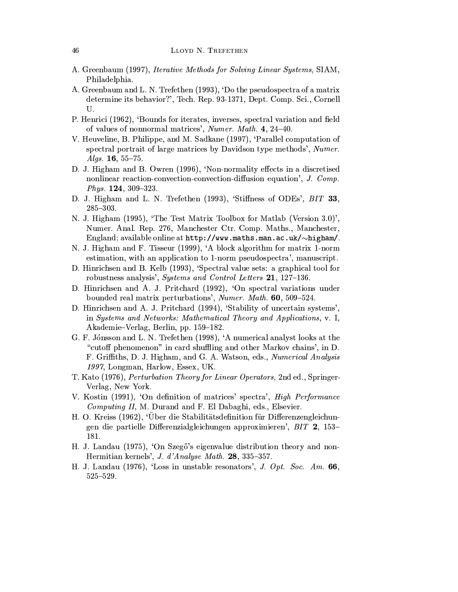- A. Greenbaum (1997), *Iterative Methods for Solving Linear Systems*, SIAM, Philadelphia.
- A. Greenbaum and L. N. Trefethen (1993), 'Do the pseudospectra of a matrix determine its behavior?', Tech. Rep. 93-1371, Dept. Comp. Sci., Cornell U.
- P. Henrici (1962), 'Bounds for iterates, inverses, spectral variation and field of values of nonnormal matrices', Numer. Math. 4, 24-40.
- V. Heuveline, B. Philippe, and M. Sadkane (1997), 'Parallel computation of spectral portrait of large matrices by Davidson type methods', Numer. Algs.  $16, 55-75.$
- D. J. Higham and B. Owren (1996), 'Non-normality effects in a discretised nonlinear reaction-convection-convection-diffusion equation', J. Comp. Phys.  $124, 309-323$ .
- D. J. Higham and L. N. Trefethen (1993), 'Stiffness of ODEs', BIT 33,  $285 - 303.$
- N. J. Higham (1995), 'The Test Matrix Toolbox for Matlab (Version 3.0)', Numer. Anal. Rep. 276, Manchester Ctr. Comp. Maths., Manchester, England; available online at  $http://www.maths.max.ac.uk/~higham/.$
- N. J. Higham and F. Tisseur (1999), 'A block algorithm for matrix 1-norm estimation, with an application to 1-norm pseudospectra', manuscript.
- D. Hinrichsen and B. Kelb (1993), 'Spectral value sets: a graphical tool for robustness analysis', Systems and Control Letters 21, 127–136.
- D. Hinrichsen and A. J. Pritchard (1992), 'On spectral variations under bounded real matrix perturbations', Numer. Math. 60, 509-524.
- D. Hinrichsen and A. J. Pritchard (1994), 'Stability of uncertain systems', in Systems and Networks: Mathematical Theory and Applications, v. I. Akademie–Verlag, Berlin, pp. 159–182.
- G. F. Jónsson and L. N. Trefethen (1998), 'A numerical analyst looks at the "cutoff phenomenon" in card shuffling and other Markov chains', in D. F. Griffiths, D. J. Higham, and G. A. Watson, eds., Numerical Analysis 1997, Longman, Harlow, Essex, UK.
- T. Kato (1976), *Perturbation Theory for Linear Operators*, 2nd ed., Springer-Verlag, New York.
- V. Kostin (1991), 'On definition of matrices' spectra', High Performance *Computing II, M. Durand and F. El Dabaghi, eds., Elsevier.*
- H. O. Kreiss (1962), 'Uber die Stabilitätsdefinition für Differenzengleichungen die partielle Differenzialgleichungen approximieren', BIT 2, 153-181.
- H. J. Landau (1975), 'On Szegő's eigenvalue distribution theory and non-Hermitian kernels', J. d'Analyse Math. 28, 335-357.
- H. J. Landau (1976), 'Loss in unstable resonators', J. Opt. Soc. Am. 66,  $525 - 529.$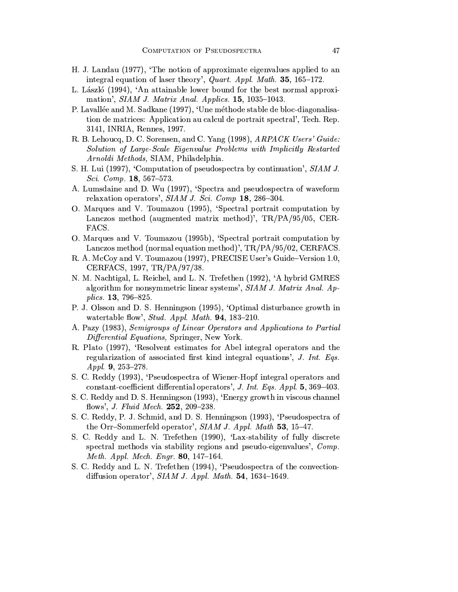- H. J. Landau (1977), 'The notion of approximate eigenvalues applied to an integral equation of laser theory', Quart. Appl. Math. 35, 165-172.
- L. László (1994), 'An attainable lower bound for the best normal approximation',  $SIAM$  J. Matrix Anal. Applics. 15, 1035-1043.
- P. Lavallée and M. Sadkane (1997), 'Une méthode stable de bloc-diagonalisation de matrices: Application au calcul de portrait spectral', Tech. Rep. 3141, INRIA, Rennes, 1997.
- R. B. Lehoucq, D. C. Sorensen, and C. Yang (1998), ARPACK Users' Guide: Solution of Large-Scale Eigenvalue Problems with Implicitly Restarted Arnoldi Methods, SIAM, Philadelphia.
- S. H. Lui (1997), 'Computation of pseudospectra by continuation', SIAM J. Sci. Comp. 18, 567-573.
- A. Lumsdaine and D. Wu (1997), 'Spectra and pseudospectra of waveform relaxation operators',  $SIAMJ.$  Sci. Comp 18, 286-304.
- O. Marques and V. Toumazou (1995), 'Spectral portrait computation by Lanczos method (augmented matrix method)',  $TR/PA/95/05$ , CER-FACS.
- O. Marques and V. Toumazou (1995b), 'Spectral portrait computation by Lanczos method (normal equation method)', TR/PA/95/02, CERFACS.
- R. A. McCoy and V. Toumazou (1997), PRECISE User's Guide-Version 1.0, CERFACS, 1997, TR/PA/97/38.
- N. M. Nachtigal, L. Reichel, and L. N. Trefethen (1992), 'A hybrid GMRES algorithm for nonsymmetric linear systems', SIAM J. Matrix Anal. Applics. **13**, 796-825.
- P. J. Olsson and D. S. Henningson (1995), 'Optimal disturbance growth in watertable flow', Stud. Appl. Math. 94, 183-210.
- A. Pazy (1983), Semigroups of Linear Operators and Applications to Partial Differential Equations, Springer, New York.
- R. Plato (1997), 'Resolvent estimates for Abel integral operators and the regularization of associated first kind integral equations', J. Int. Eqs. Appl. 9, 253-278.
- S. C. Reddy (1993), 'Pseudospectra of Wiener-Hopf integral operators and constant-coefficient differential operators', J. Int. Eqs. Appl. 5, 369-403.
- S. C. Reddy and D. S. Henningson (1993), 'Energy growth in viscous channel flows', *J. Fluid Mech.* 252, 209-238.
- S. C. Reddy, P. J. Schmid, and D. S. Henningson (1993), 'Pseudospectra of the Orr-Sommerfeld operator', SIAM J. Appl. Math 53, 15-47.
- S. C. Reddy and L. N. Trefethen (1990), 'Lax-stability of fully discrete spectral methods via stability regions and pseudo-eigenvalues', Comp. Meth. Appl. Mech. Engr. 80, 147-164.
- S. C. Reddy and L. N. Trefethen (1994), 'Pseudospectra of the convectiondiffusion operator',  $SIAMJ.$  Appl. Math. 54, 1634-1649.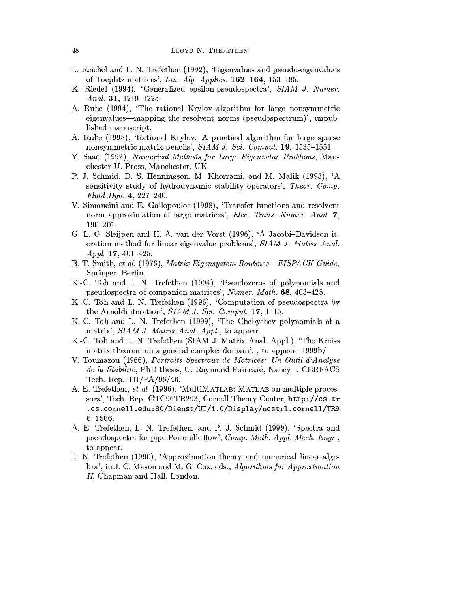- L. Reichel and L. N. Trefethen (1992), 'Eigenvalues and pseudo-eigenvalues of Toeplitz matrices', Lin. Alg. Applics.  $162-164$ ,  $153-185$ .
- K. Riedel (1994), 'Generalized epsilon-pseudospectra', SIAM J. Numer. Anal. 31,  $1219-1225$ .
- A. Ruhe (1994), 'The rational Krylov algorithm for large nonsymmetric eigenvalues—mapping the resolvent norms (pseudospectrum)', unpublished manuscript.
- A. Ruhe (1998), 'Rational Krylov: A practical algorithm for large sparse nonsymmetric matrix pencils', SIAM J. Sci. Comput. 19, 1535-1551.
- Y. Saad (1992), Numerical Methods for Large Eigenvalue Problems, Manchester U. Press, Manchester, UK.
- P. J. Schmid, D. S. Henningson, M. Khorrami, and M. Malik (1993), 'A sensitivity study of hydrodynamic stability operators', Theor. Comp. Fluid Dyn. 4, 227-240.
- V. Simoncini and E. Gallopoulos (1998), 'Transfer functions and resolvent norm approximation of large matrices', Elec. Trans. Numer. Anal. 7,  $190 - 201.$
- G. L. G. Sleijpen and H. A. van der Vorst (1996), 'A Jacobi-Davidson iteration method for linear eigenvalue problems', SIAM J. Matrix Anal.  $A$  ppl. 17, 401-425.
- B. T. Smith, et al. (1976), Matrix Eigensystem Routines-EISPACK Guide, Springer, Berlin.
- K.-C. Toh and L. N. Trefethen (1994), 'Pseudozeros of polynomials and pseudospectra of companion matrices', Numer. Math. 68, 403-425.
- K.-C. Toh and L. N. Trefethen (1996), 'Computation of pseudospectra by the Arnoldi iteration',  $SIAMJ.$  Sci. Comput. 17, 1-15.
- K.-C. Toh and L. N. Trefethen (1999), 'The Chebyshev polynomials of a matrix', SIAM J. Matrix Anal. Appl., to appear.
- K.-C. Toh and L. N. Trefethen (SIAM J. Matrix Anal. Appl.), 'The Kreiss matrix theorem on a general complex domain', to appear. 1999b/
- V. Toumazou (1966), Portraits Spectraux de Matrices: Un Outil d'Analyse de la Stabilité, PhD thesis, U. Raymond Poincaré, Nancy I, CERFACS Tech. Rep.  $TH/PA/96/46$ .
- A. E. Trefethen, et al. (1996), 'MultiMATLAB: MATLAB on multiple processors', Tech. Rep. CTC96TR293, Cornell Theory Center, http://cs-tr .cs.cornell.edu:80/Dienst/UI/1.0/Display/ncstrl.cornell/TR9  $6 - 1586.$
- A. E. Trefethen, L. N. Trefethen, and P. J. Schmid (1999), 'Spectra and pseudospectra for pipe Poiseuille flow', Comp. Meth. Appl. Mech. Engr., to appear.
- L. N. Trefethen (1990), 'Approximation theory and numerical linear algebra', in J. C. Mason and M. G. Cox, eds., Algorithms for Approximation II, Chapman and Hall, London.